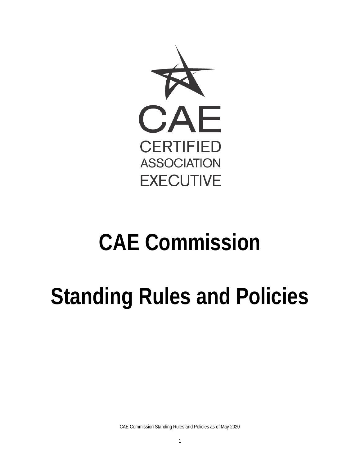

# **CAE Commission**

# **Standing Rules and Policies**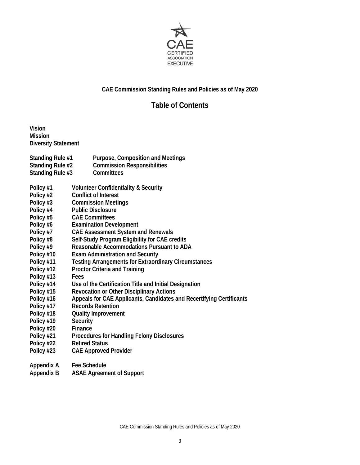

# **CAE Commission Standing Rules and Policies as of May 2020**

# **Table of Contents**

**Vision Mission Diversity Statement**

- **Standing Rule #1 Purpose, Composition and Meetings**
- **Standing Rule #2 Commission Responsibilities**
- **Standing Rule #3 Committees**
- **Policy #1 Volunteer Confidentiality & Security**
- **Policy #2 Conflict of Interest**
- **Policy #3 Commission Meetings**
- **Policy #4 Public Disclosure**
- **Policy #5 CAE Committees**
- **Policy #6 Examination Development**
- **Policy #7 CAE Assessment System and Renewals**
- **Policy #8 Self-Study Program Eligibility for CAE credits**
- **Policy #9 Reasonable Accommodations Pursuant to ADA**
- **Policy #10 Exam Administration and Security**
- **Policy #11 Testing Arrangements for Extraordinary Circumstances**
- **Policy #12 Proctor Criteria and Training**
- **Policy #13 Fees**
- **Policy #14 Use of the Certification Title and Initial Designation**
- **Policy #15 Revocation or Other Disciplinary Actions**
- **Policy #16 Appeals for CAE Applicants, Candidates and Recertifying Certificants**
- **Policy #17 Records Retention**
- **Policy #18 Quality Improvement**
- **Policy #19 Security**
- **Policy #20 Finance**
- **Policy #21 Procedures for Handling Felony Disclosures**
- **Policy #22 Retired Status**
- **Policy #23 CAE Approved Provider**

**Appendix A Fee Schedule** 

**Appendix B ASAE Agreement of Support**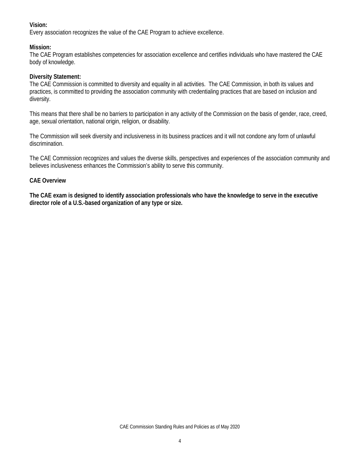# **Vision:**

Every association recognizes the value of the CAE Program to achieve excellence.

# **Mission:**

The CAE Program establishes competencies for association excellence and certifies individuals who have mastered the CAE body of knowledge.

#### **Diversity Statement:**

The CAE Commission is committed to diversity and equality in all activities. The CAE Commission, in both its values and practices, is committed to providing the association community with credentialing practices that are based on inclusion and diversity.

This means that there shall be no barriers to participation in any activity of the Commission on the basis of gender, race, creed, age, sexual orientation, national origin, religion, or disability.

The Commission will seek diversity and inclusiveness in its business practices and it will not condone any form of unlawful discrimination.

The CAE Commission recognizes and values the diverse skills, perspectives and experiences of the association community and believes inclusiveness enhances the Commission's ability to serve this community.

# **CAE Overview**

**The CAE exam is designed to identify association professionals who have the knowledge to serve in the executive director role of a U.S.-based organization of any type or size.**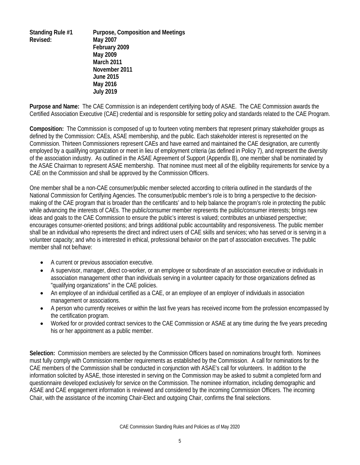**Standing Rule #1 Purpose, Composition and Meetings Revised: May 2007 February 2009 May 2009 March 2011 November 2011 June 2015 May 2016 July 2019**

**Purpose and Name:** The CAE Commission is an independent certifying body of ASAE. The CAE Commission awards the Certified Association Executive (CAE) credential and is responsible for setting policy and standards related to the CAE Program.

**Composition:** The Commission is composed of up to fourteen voting members that represent primary stakeholder groups as defined by the Commission: CAEs, ASAE membership, and the public. Each stakeholder interest is represented on the Commission. Thirteen Commissioners represent CAEs and have earned and maintained the CAE designation, are currently employed by a qualifying organization or meet in lieu of employment criteria (as defined in Policy 7), and represent the diversity of the association industry. As outlined in the ASAE Agreement of Support (Appendix B), one member shall be nominated by the ASAE Chairman to represent ASAE membership. That nominee must meet all of the eligibility requirements for service by a CAE on the Commission and shall be approved by the Commission Officers.

One member shall be a non-CAE consumer/public member selected according to criteria outlined in the standards of the National Commission for Certifying Agencies. The consumer/public member's role is to bring a perspective to the decisionmaking of the CAE program that is broader than the certificants' and to help balance the program's role in protecting the public while advancing the interests of CAEs. The public/consumer member represents the public/consumer interests; brings new ideas and goals to the CAE Commission to ensure the public's interest is valued; contributes an unbiased perspective; encourages consumer-oriented positions; and brings additional public accountability and responsiveness. The public member shall be an individual who represents the direct and indirect users of CAE skills and services; who has served or is serving in a volunteer capacity; and who is interested in ethical, professional behavior on the part of association executives. The public member shall not be/have:

- A current or previous association executive.
- A supervisor, manager, direct co-worker, or an employee or subordinate of an association executive or individuals in association management other than individuals serving in a volunteer capacity for those organizations defined as "qualifying organizations" in the CAE policies.
- An employee of an individual certified as a CAE, or an employee of an employer of individuals in association management or associations.
- A person who currently receives or within the last five years has received income from the profession encompassed by the certification program.
- Worked for or provided contract services to the CAE Commission or ASAE at any time during the five years preceding his or her appointment as a public member.

**Selection:** Commission members are selected by the Commission Officers based on nominations brought forth. Nominees must fully comply with Commission member requirements as established by the Commission. A call for nominations for the CAE members of the Commission shall be conducted in conjunction with ASAE's call for volunteers. In addition to the information solicited by ASAE, those interested in serving on the Commission may be asked to submit a completed form and questionnaire developed exclusively for service on the Commission. The nominee information, including demographic and ASAE and CAE engagement information is reviewed and considered by the incoming Commission Officers. The incoming Chair, with the assistance of the incoming Chair-Elect and outgoing Chair, confirms the final selections.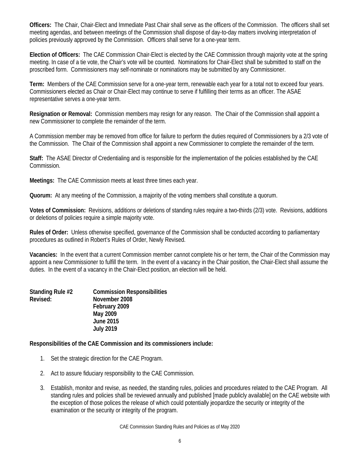**Officers:** The Chair, Chair-Elect and Immediate Past Chair shall serve as the officers of the Commission. The officers shall set meeting agendas, and between meetings of the Commission shall dispose of day-to-day matters involving interpretation of policies previously approved by the Commission. Officers shall serve for a one-year term.

**Election of Officers:** The CAE Commission Chair-Elect is elected by the CAE Commission through majority vote at the spring meeting. In case of a tie vote, the Chair's vote will be counted. Nominations for Chair-Elect shall be submitted to staff on the proscribed form. Commissioners may self-nominate or nominations may be submitted by any Commissioner.

**Term:** Members of the CAE Commission serve for a one-year term, renewable each year for a total not to exceed four years. Commissioners elected as Chair or Chair-Elect may continue to serve if fulfilling their terms as an officer. The ASAE representative serves a one-year term.

**Resignation or Removal:** Commission members may resign for any reason. The Chair of the Commission shall appoint a new Commissioner to complete the remainder of the term.

A Commission member may be removed from office for failure to perform the duties required of Commissioners by a 2/3 vote of the Commission. The Chair of the Commission shall appoint a new Commissioner to complete the remainder of the term.

**Staff:** The ASAE Director of Credentialing and is responsible for the implementation of the policies established by the CAE Commission.

**Meetings:** The CAE Commission meets at least three times each year.

**Quorum:** At any meeting of the Commission, a majority of the voting members shall constitute a quorum.

**Votes of Commission:** Revisions, additions or deletions of standing rules require a two-thirds (2/3) vote. Revisions, additions or deletions of policies require a simple majority vote.

**Rules of Order:** Unless otherwise specified, governance of the Commission shall be conducted according to parliamentary procedures as outlined in Robert's Rules of Order, Newly Revised.

**Vacancies:** In the event that a current Commission member cannot complete his or her term, the Chair of the Commission may appoint a new Commissioner to fulfill the term. In the event of a vacancy in the Chair position, the Chair-Elect shall assume the duties. In the event of a vacancy in the Chair-Elect position, an election will be held.

| Standing Rule #2 | <b>Commission Responsibilities</b> |
|------------------|------------------------------------|
| Revised:         | November 2008                      |
|                  | February 2009                      |
|                  | May 2009                           |
|                  | <b>June 2015</b>                   |
|                  | <b>July 2019</b>                   |

**Responsibilities of the CAE Commission and its commissioners include:**

- 1. Set the strategic direction for the CAE Program.
- 2. Act to assure fiduciary responsibility to the CAE Commission.
- 3. Establish, monitor and revise, as needed, the standing rules, policies and procedures related to the CAE Program. All standing rules and policies shall be reviewed annually and published [made publicly available] on the CAE website with the exception of those polices the release of which could potentially jeopardize the security or integrity of the examination or the security or integrity of the program.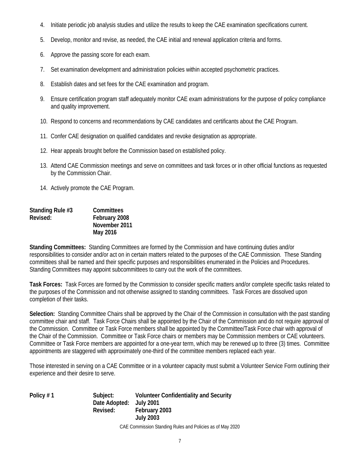- 4. Initiate periodic job analysis studies and utilize the results to keep the CAE examination specifications current.
- 5. Develop, monitor and revise, as needed, the CAE initial and renewal application criteria and forms.
- 6. Approve the passing score for each exam.
- 7. Set examination development and administration policies within accepted psychometric practices.
- 8. Establish dates and set fees for the CAE examination and program.
- 9. Ensure certification program staff adequately monitor CAE exam administrations for the purpose of policy compliance and quality improvement.
- 10. Respond to concerns and recommendations by CAE candidates and certificants about the CAE Program.
- 11. Confer CAE designation on qualified candidates and revoke designation as appropriate.
- 12. Hear appeals brought before the Commission based on established policy.
- 13. Attend CAE Commission meetings and serve on committees and task forces or in other official functions as requested by the Commission Chair.
- 14. Actively promote the CAE Program.

| Standing Rule #3 | <b>Committees</b> |
|------------------|-------------------|
| Revised:         | February 2008     |
|                  | November 2011     |
|                  | May 2016          |

**Standing Committees:** Standing Committees are formed by the Commission and have continuing duties and/or responsibilities to consider and/or act on in certain matters related to the purposes of the CAE Commission. These Standing committees shall be named and their specific purposes and responsibilities enumerated in the Policies and Procedures. Standing Committees may appoint subcommittees to carry out the work of the committees.

**Task Forces:** Task Forces are formed by the Commission to consider specific matters and/or complete specific tasks related to the purposes of the Commission and not otherwise assigned to standing committees. Task Forces are dissolved upon completion of their tasks.

**Selection:** Standing Committee Chairs shall be approved by the Chair of the Commission in consultation with the past standing committee chair and staff. Task Force Chairs shall be appointed by the Chair of the Commission and do not require approval of the Commission. Committee or Task Force members shall be appointed by the Committee/Task Force chair with approval of the Chair of the Commission. Committee or Task Force chairs or members may be Commission members or CAE volunteers. Committee or Task Force members are appointed for a one-year term, which may be renewed up to three (3) times. Committee appointments are staggered with approximately one-third of the committee members replaced each year.

Those interested in serving on a CAE Committee or in a volunteer capacity must submit a Volunteer Service Form outlining their experience and their desire to serve.

**Policy # 1 Subject: Volunteer Confidentiality and Security Date Adopted: July 2001 Revised: February 2003 July 2003**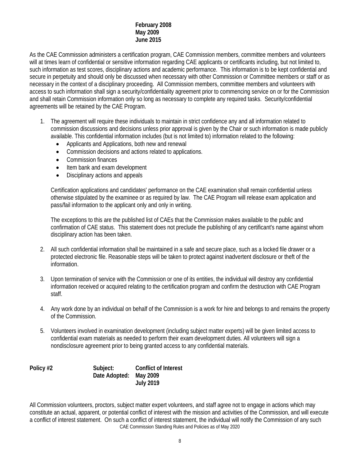#### **February 2008 May 2009 June 2015**

As the CAE Commission administers a certification program, CAE Commission members, committee members and volunteers will at times learn of confidential or sensitive information regarding CAE applicants or certificants including, but not limited to, such information as test scores, disciplinary actions and academic performance. This information is to be kept confidential and secure in perpetuity and should only be discussed when necessary with other Commission or Committee members or staff or as necessary in the context of a disciplinary proceeding. All Commission members, committee members and volunteers with access to such information shall sign a security/confidentiality agreement prior to commencing service on or for the Commission and shall retain Commission information only so long as necessary to complete any required tasks. Security/confidential agreements will be retained by the CAE Program.

- 1. The agreement will require these individuals to maintain in strict confidence any and all information related to commission discussions and decisions unless prior approval is given by the Chair or such information is made publicly available. This confidential information includes (but is not limited to) information related to the following:
	- Applicants and Applications, both new and renewal
	- Commission decisions and actions related to applications.
	- Commission finances
	- Item bank and exam development
	- Disciplinary actions and appeals

Certification applications and candidates' performance on the CAE examination shall remain confidential unless otherwise stipulated by the examinee or as required by law. The CAE Program will release exam application and pass/fail information to the applicant only and only in writing.

The exceptions to this are the published list of CAEs that the Commission makes available to the public and confirmation of CAE status. This statement does not preclude the publishing of any certificant's name against whom disciplinary action has been taken.

- 2. All such confidential information shall be maintained in a safe and secure place, such as a locked file drawer or a protected electronic file. Reasonable steps will be taken to protect against inadvertent disclosure or theft of the information.
- 3. Upon termination of service with the Commission or one of its entities, the individual will destroy any confidential information received or acquired relating to the certification program and confirm the destruction with CAE Program staff.
- 4. Any work done by an individual on behalf of the Commission is a work for hire and belongs to and remains the property of the Commission.
- 5. Volunteers involved in examination development (including subject matter experts) will be given limited access to confidential exam materials as needed to perform their exam development duties. All volunteers will sign a nondisclosure agreement prior to being granted access to any confidential materials.

**Policy #2 Subject: Conflict of Interest Date Adopted: May 2009 July 2019**

CAE Commission Standing Rules and Policies as of May 2020 All Commission volunteers, proctors, subject matter expert volunteers, and staff agree not to engage in actions which may constitute an actual, apparent, or potential conflict of interest with the mission and activities of the Commission, and will execute a conflict of interest statement. On such a conflict of interest statement, the individual will notify the Commission of any such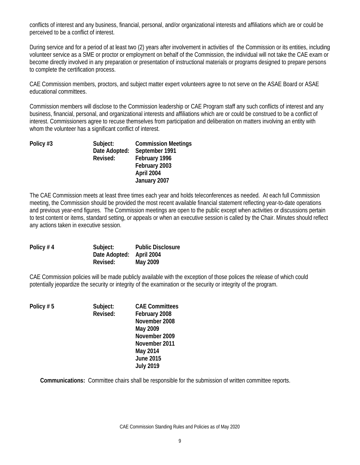conflicts of interest and any business, financial, personal, and/or organizational interests and affiliations which are or could be perceived to be a conflict of interest.

During service and for a period of at least two (2) years after involvement in activities of the Commission or its entities, including volunteer service as a SME or proctor or employment on behalf of the Commission, the individual will not take the CAE exam or become directly involved in any preparation or presentation of instructional materials or programs designed to prepare persons to complete the certification process.

CAE Commission members, proctors, and subject matter expert volunteers agree to not serve on the ASAE Board or ASAE educational committees.

Commission members will disclose to the Commission leadership or CAE Program staff any such conflicts of interest and any business, financial, personal, and organizational interests and affiliations which are or could be construed to be a conflict of interest. Commissioners agree to recuse themselves from participation and deliberation on matters involving an entity with whom the volunteer has a significant conflict of interest.

| Policy #3 | Subject:      | <b>Commission Meetings</b> |
|-----------|---------------|----------------------------|
|           | Date Adopted: | September 1991             |
|           | Revised:      | February 1996              |
|           |               | February 2003              |
|           |               | April 2004                 |
|           |               | January 2007               |

The CAE Commission meets at least three times each year and holds teleconferences as needed. At each full Commission meeting, the Commission should be provided the most recent available financial statement reflecting year-to-date operations and previous year-end figures. The Commission meetings are open to the public except when activities or discussions pertain to test content or items, standard setting, or appeals or when an executive session is called by the Chair. Minutes should reflect any actions taken in executive session.

| Policy $# 4$ | Subject:                 | <b>Public Disclosure</b> |
|--------------|--------------------------|--------------------------|
|              | Date Adopted: April 2004 |                          |
|              | Revised:                 | May 2009                 |

CAE Commission policies will be made publicly available with the exception of those polices the release of which could potentially jeopardize the security or integrity of the examination or the security or integrity of the program.

| Policy #5 | Subject:<br>Revised: | <b>CAE Committees</b><br>February 2008 |
|-----------|----------------------|----------------------------------------|
|           |                      | November 2008                          |
|           |                      | May 2009                               |
|           |                      | November 2009                          |
|           |                      | November 2011                          |
|           |                      | May 2014                               |
|           |                      | <b>June 2015</b>                       |
|           |                      | <b>July 2019</b>                       |

**Communications:** Committee chairs shall be responsible for the submission of written committee reports.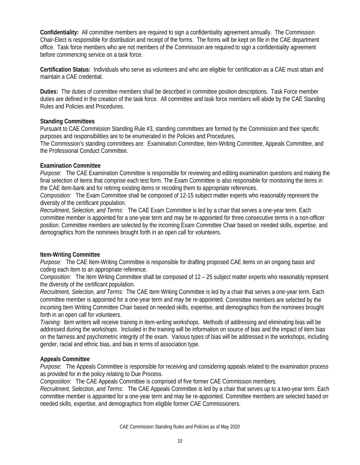**Confidentiality:**All committee members are required to sign a confidentiality agreement annually. The Commission Chair-Elect is responsible for distribution and receipt of the forms. The forms will be kept on file in the CAE department office. Task force members who are not members of the Commission are required to sign a confidentiality agreement before commencing service on a task force.

**Certification Status:** Individuals who serve as volunteers and who are eligible for certification as a CAE must attain and maintain a CAE credential.

**Duties:** The duties of committee members shall be described in committee position descriptions. Task Force member duties are defined in the creation of the task force. All committee and task force members will abide by the CAE Standing Rules and Policies and Procedures.

# **Standing Committees**

Pursuant to CAE Commission Standing Rule #3, standing committees are formed by the Commission and their specific purposes and responsibilities are to be enumerated in the Policies and Procedures.

The Commission's standing committees are: Examination Committee, Item-Writing Committee, Appeals Committee, and the Professional Conduct Committee.

#### **Examination Committee**

*Purpose:* The CAE Examination Committee is responsible for reviewing and editing examination questions and making the final selection of items that comprise each test form. The Exam Committee is also responsible for monitoring the items in the CAE item-bank and for retiring existing items or recoding them to appropriate references.

*Composition:* The Exam Committee shall be composed of 12-15 subject matter experts who reasonably represent the diversity of the certificant population.

*Recruitment, Selection, and Terms:* The CAE Exam Committee is led by a chair that serves a one-year term. Each committee member is appointed for a one-year term and may be re-appointed for three consecutive terms in a non-officer position. Committee members are selected by the incoming Exam Committee Chair based on needed skills, expertise, and demographics from the nominees brought forth in an open call for volunteers.

# **Item-Writing Committee**

*Purpose:* The CAE Item-Writing Committee is responsible for drafting proposed CAE items on an ongoing basis and coding each item to an appropriate reference.

*Composition:* The Item Writing Committee shall be composed of 12 – 25 subject matter experts who reasonably represent the diversity of the certificant population.

*Recruitment, Selection, and Terms:* The CAE Item Writing Committee is led by a chair that serves a one-year term. Each committee member is appointed for a one-year term and may be re-appointed. Committee members are selected by the incoming Item Writing Committee Chair based on needed skills, expertise, and demographics from the nominees brought forth in an open call for volunteers.

*Training:* Item writers will receive training in item-writing workshops. Methods of addressing and eliminating bias will be addressed during the workshops. Included in the training will be information on source of bias and the impact of item bias on the fairness and psychometric integrity of the exam. Various types of bias will be addressed in the workshops, including gender, racial and ethnic bias, and bias in terms of association type.

# **Appeals Committee**

*Purpose:* The Appeals Committee is responsible for receiving and considering appeals related to the examination process as provided for in the policy relating to Due Process.

*Composition:* The CAE Appeals Committee is comprised of five former CAE Commission members.

*Recruitment, Selection, and Terms:* The CAE Appeals Committee is led by a chair that serves up to a two-year term. Each committee member is appointed for a one-year term and may be re-appointed. Committee members are selected based on needed skills, expertise, and demographics from eligible former CAE Commissioners.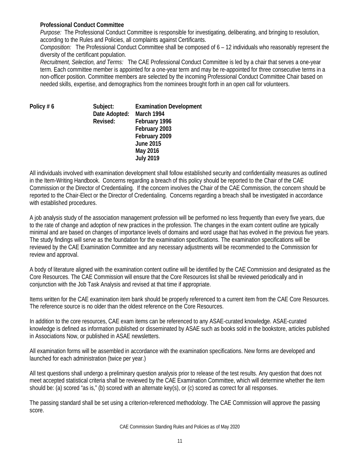#### **Professional Conduct Committee**

*Purpose:* The Professional Conduct Committee is responsible for investigating, deliberating, and bringing to resolution, according to the Rules and Policies, all complaints against Certificants.

*Composition:* The Professional Conduct Committee shall be composed of 6 – 12 individuals who reasonably represent the diversity of the certificant population.

*Recruitment, Selection, and Terms:* The CAE Professional Conduct Committee is led by a chair that serves a one-year term. Each committee member is appointed for a one-year term and may be re-appointed for three consecutive terms in a non-officer position. Committee members are selected by the incoming Professional Conduct Committee Chair based on needed skills, expertise, and demographics from the nominees brought forth in an open call for volunteers.

**Policy #6** 

| Subject:                 | <b>Examination Development</b> |
|--------------------------|--------------------------------|
| Date Adopted: March 1994 |                                |
| Revised:                 | February 1996                  |
|                          | February 2003                  |
|                          | February 2009                  |
|                          | <b>June 2015</b>               |
|                          | May 2016                       |
|                          | <b>July 2019</b>               |
|                          |                                |

All individuals involved with examination development shall follow established security and confidentiality measures as outlined in the Item-Writing Handbook. Concerns regarding a breach of this policy should be reported to the Chair of the CAE Commission or the Director of Credentialing. If the concern involves the Chair of the CAE Commission, the concern should be reported to the Chair-Elect or the Director of Credentialing. Concerns regarding a breach shall be investigated in accordance with established procedures.

A job analysis study of the association management profession will be performed no less frequently than every five years, due to the rate of change and adoption of new practices in the profession. The changes in the exam content outline are typically minimal and are based on changes of importance levels of domains and word usage that has evolved in the previous five years. The study findings will serve as the foundation for the examination specifications. The examination specifications will be reviewed by the CAE Examination Committee and any necessary adjustments will be recommended to the Commission for review and approval.

A body of literature aligned with the examination content outline will be identified by the CAE Commission and designated as the Core Resources. The CAE Commission will ensure that the Core Resources list shall be reviewed periodically and in conjunction with the Job Task Analysis and revised at that time if appropriate.

Items written for the CAE examination item bank should be properly referenced to a current item from the CAE Core Resources. The reference source is no older than the oldest reference on the Core Resources.

In addition to the core resources, CAE exam items can be referenced to any ASAE-curated knowledge. ASAE-curated knowledge is defined as information published or disseminated by ASAE such as books sold in the bookstore, articles published in Associations Now, or published in ASAE newsletters.

All examination forms will be assembled in accordance with the examination specifications. New forms are developed and launched for each administration (twice per year.)

All test questions shall undergo a preliminary question analysis prior to release of the test results. Any question that does not meet accepted statistical criteria shall be reviewed by the CAE Examination Committee, which will determine whether the item should be: (a) scored "as is," (b) scored with an alternate key(s), or (c) scored as correct for all responses.

The passing standard shall be set using a criterion-referenced methodology. The CAE Commission will approve the passing score.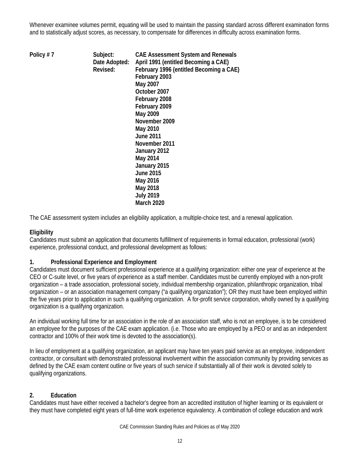Whenever examinee volumes permit, equating will be used to maintain the passing standard across different examination forms and to statistically adjust scores, as necessary, to compensate for differences in difficulty across examination forms.

**Policy # 7 Subject: CAE Assessment System and Renewals Date Adopted: April 1991 (entitled Becoming a CAE) Revised: February 1996 (entitled Becoming a CAE) February 2003 May 2007 October 2007 February 2008 February 2009 May 2009 November 2009 May 2010 June 2011 November 2011 January 2012 May 2014 January 2015 June 2015 May 2016 May 2018 July 2019 March 2020**

The CAE assessment system includes an eligibility application, a multiple-choice test, and a renewal application.

# **Eligibility**

Candidates must submit an application that documents fulfillment of requirements in formal education, professional (work) experience, professional conduct, and professional development as follows:

# **1. Professional Experience and Employment**

Candidates must document sufficient professional experience at a qualifying organization: either one year of experience at the CEO or C-suite level, or five years of experience as a staff member. Candidates must be currently employed with a non-profit organization – a trade association, professional society, individual membership organization, philanthropic organization, tribal organization – or an association management company ("a qualifying organization"); OR they must have been employed within the five years prior to application in such a qualifying organization. A for-profit service corporation, wholly owned by a qualifying organization is a qualifying organization.

An individual working full time for an association in the role of an association staff, who is not an employee, is to be considered an employee for the purposes of the CAE exam application. (i.e. Those who are employed by a PEO or and as an independent contractor and 100% of their work time is devoted to the association(s).

In lieu of employment at a qualifying organization, an applicant may have ten years paid service as an employee, independent contractor, or consultant with demonstrated professional involvement within the association community by providing services as defined by the CAE exam content outline or five years of such service if substantially all of their work is devoted solely to qualifying organizations.

# **2. Education**

Candidates must have either received a bachelor's degree from an accredited institution of higher learning or its equivalent or they must have completed eight years of full-time work experience equivalency. A combination of college education and work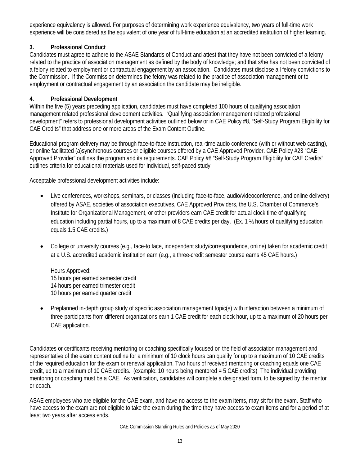experience equivalency is allowed. For purposes of determining work experience equivalency, two years of full-time work experience will be considered as the equivalent of one year of full-time education at an accredited institution of higher learning.

# **3. Professional Conduct**

Candidates must agree to adhere to the ASAE Standards of Conduct and attest that they have not been convicted of a felony related to the practice of association management as defined by the body of knowledge; and that s/he has not been convicted of a felony related to employment or contractual engagement by an association. Candidates must disclose all felony convictions to the Commission. If the Commission determines the felony was related to the practice of association management or to employment or contractual engagement by an association the candidate may be ineligible.

# **4. Professional Development**

Within the five (5) years preceding application, candidates must have completed 100 hours of qualifying association management related professional development activities. "Qualifying association management related professional development" refers to professional development activities outlined below or in CAE Policy #8, "Self-Study Program Eligibility for CAE Credits" that address one or more areas of the Exam Content Outline.

Educational program delivery may be through face-to-face instruction, real-time audio conference (with or without web casting), or online facilitated (a)synchronous courses or eligible courses offered by a CAE Approved Provider. CAE Policy #23 "CAE Approved Provider" outlines the program and its requirements. CAE Policy #8 "Self-Study Program Eligibility for CAE Credits" outlines criteria for educational materials used for individual, self-paced study.

Acceptable professional development activities include:

- Live conferences, workshops, seminars, or classes (including face-to-face, audio/videoconference, and online delivery) offered by ASAE, societies of association executives, CAE Approved Providers, the U.S. Chamber of Commerce's Institute for Organizational Management, or other providers earn CAE credit for actual clock time of qualifying education including partial hours, up to a maximum of 8 CAE credits per day. (Ex. 1 ½ hours of qualifying education equals 1.5 CAE credits.)
- College or university courses (e.g., face-to face, independent study/correspondence, online) taken for academic credit at a U.S. accredited academic institution earn (e.g., a three-credit semester course earns 45 CAE hours.)

Hours Approved: 15 hours per earned semester credit 14 hours per earned trimester credit 10 hours per earned quarter credit

• Preplanned in-depth group study of specific association management topic(s) with interaction between a minimum of three participants from different organizations earn 1 CAE credit for each clock hour, up to a maximum of 20 hours per CAE application.

Candidates or certificants receiving mentoring or coaching specifically focused on the field of association management and representative of the exam content outline for a minimum of 10 clock hours can qualify for up to a maximum of 10 CAE credits of the required education for the exam or renewal application. Two hours of received mentoring or coaching equals one CAE credit, up to a maximum of 10 CAE credits. (example: 10 hours being mentored  $= 5$  CAE credits) The individual providing mentoring or coaching must be a CAE. As verification, candidates will complete a designated form, to be signed by the mentor or coach.

ASAE employees who are eligible for the CAE exam, and have no access to the exam items, may sit for the exam. Staff who have access to the exam are not eligible to take the exam during the time they have access to exam items and for a period of at least two years after access ends.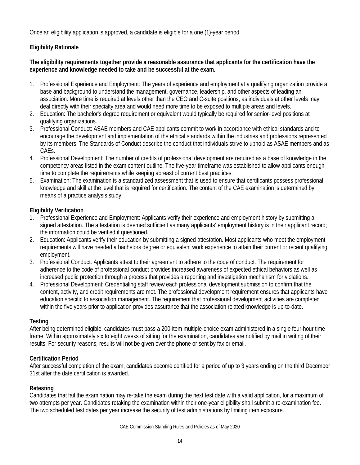Once an eligibility application is approved, a candidate is eligible for a one (1)-year period.

# **Eligibility Rationale**

# **The eligibility requirements together provide a reasonable assurance that applicants for the certification have the experience and knowledge needed to take and be successful at the exam.**

- 1. Professional Experience and Employment: The years of experience and employment at a qualifying organization provide a base and background to understand the management, governance, leadership, and other aspects of leading an association. More time is required at levels other than the CEO and C-suite positions, as individuals at other levels may deal directly with their specialty area and would need more time to be exposed to multiple areas and levels.
- 2. Education: The bachelor's degree requirement or equivalent would typically be required for senior-level positions at qualifying organizations.
- 3. Professional Conduct: ASAE members and CAE applicants commit to work in accordance with ethical standards and to encourage the development and implementation of the ethical standards within the industries and professions represented by its members. The Standards of Conduct describe the conduct that individuals strive to uphold as ASAE members and as CAEs.
- 4. Professional Development: The number of credits of professional development are required as a base of knowledge in the competency areas listed in the exam content outline. The five-year timeframe was established to allow applicants enough time to complete the requirements while keeping abreast of current best practices.
- 5. Examination: The examination is a standardized assessment that is used to ensure that certificants possess professional knowledge and skill at the level that is required for certification. The content of the CAE examination is determined by means of a practice analysis study.

# **Eligibility Verification**

- 1. Professional Experience and Employment: Applicants verify their experience and employment history by submitting a signed attestation. The attestation is deemed sufficient as many applicants' employment history is in their applicant record; the information could be verified if questioned.
- 2. Education: Applicants verify their education by submitting a signed attestation. Most applicants who meet the employment requirements will have needed a bachelors degree or equivalent work experience to attain their current or recent qualifying employment.
- 3. Professional Conduct: Applicants attest to their agreement to adhere to the code of conduct. The requirement for adherence to the code of professional conduct provides increased awareness of expected ethical behaviors as well as increased public protection through a process that provides a reporting and investigation mechanism for violations.
- 4. Professional Development: Credentialing staff review each professional development submission to confirm that the content, activity, and credit requirements are met. The professional development requirement ensures that applicants have education specific to association management. The requirement that professional development activities are completed within the five years prior to application provides assurance that the association related knowledge is up-to-date.

# **Testing**

After being determined eligible, candidates must pass a 200-item multiple-choice exam administered in a single four-hour time frame. Within approximately six to eight weeks of sitting for the examination, candidates are notified by mail in writing of their results. For security reasons, results will not be given over the phone or sent by fax or email.

# **Certification Period**

After successful completion of the exam, candidates become certified for a period of up to 3 years ending on the third December 31st after the date certification is awarded.

# **Retesting**

Candidates that fail the examination may re-take the exam during the next test date with a valid application, for a maximum of two attempts per year. Candidates retaking the examination within their one-year eligibility shall submit a re-examination fee. The two scheduled test dates per year increase the security of test administrations by limiting item exposure.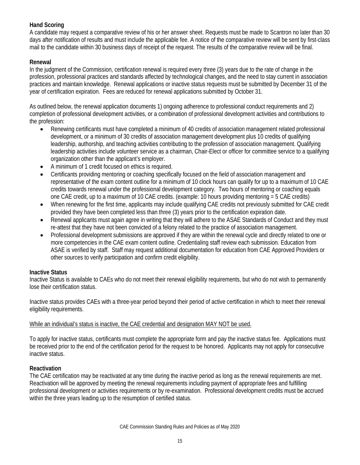# **Hand Scoring**

A candidate may request a comparative review of his or her answer sheet. Requests must be made to Scantron no later than 30 days after notification of results and must include the applicable fee. A notice of the comparative review will be sent by first-class mail to the candidate within 30 business days of receipt of the request. The results of the comparative review will be final.

# **Renewal**

In the judgment of the Commission, certification renewal is required every three (3) years due to the rate of change in the profession, professional practices and standards affected by technological changes, and the need to stay current in association practices and maintain knowledge. Renewal applications or inactive status requests must be submitted by December 31 of the year of certification expiration. Fees are reduced for renewal applications submitted by October 31.

As outlined below, the renewal application documents 1) ongoing adherence to professional conduct requirements and 2) completion of professional development activities, or a combination of professional development activities and contributions to the profession:

- Renewing certificants must have completed a minimum of 40 credits of association management related professional development, or a minimum of 30 credits of association management development plus 10 credits of qualifying leadership, authorship, and teaching activities contributing to the profession of association management. Qualifying leadership activities include volunteer service as a chairman, Chair-Elect or officer for committee service to a qualifying organization other than the applicant's employer.
- A minimum of 1 credit focused on ethics is required.
- Certificants providing mentoring or coaching specifically focused on the field of association management and representative of the exam content outline for a minimum of 10 clock hours can qualify for up to a maximum of 10 CAE credits towards renewal under the professional development category. Two hours of mentoring or coaching equals one CAE credit, up to a maximum of 10 CAE credits. (example: 10 hours providing mentoring = 5 CAE credits)
- When renewing for the first time, applicants may include qualifying CAE credits not previously submitted for CAE credit provided they have been completed less than three (3) years prior to the certification expiration date.
- Renewal applicants must again agree in writing that they will adhere to the ASAE Standards of Conduct and they must re-attest that they have not been convicted of a felony related to the practice of association management.
- Professional development submissions are approved if they are within the renewal cycle and directly related to one or more competencies in the CAE exam content outline. Credentialing staff review each submission. Education from ASAE is verified by staff. Staff may request additional documentation for education from CAE Approved Providers or other sources to verify participation and confirm credit eligibility.

#### **Inactive Status**

Inactive Status is available to CAEs who do not meet their renewal eligibility requirements, but who do not wish to permanently lose their certification status.

Inactive status provides CAEs with a three-year period beyond their period of active certification in which to meet their renewal eligibility requirements.

#### While an individual's status is inactive, the CAE credential and designation MAY NOT be used.

To apply for inactive status, certificants must complete the appropriate form and pay the inactive status fee. Applications must be received prior to the end of the certification period for the request to be honored. Applicants may not apply for consecutive inactive status.

#### **Reactivation**

The CAE certification may be reactivated at any time during the inactive period as long as the renewal requirements are met. Reactivation will be approved by meeting the renewal requirements including payment of appropriate fees and fulfilling professional development or activities requirements or by re-examination. Professional development credits must be accrued within the three years leading up to the resumption of certified status.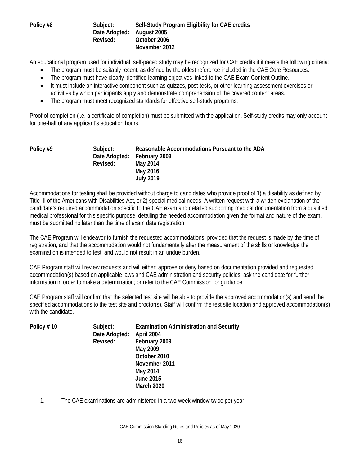#### **Policy #8 Subject: Self-Study Program Eligibility for CAE credits Date Adopted: August 2005 Revised: October 2006 November 2012**

An educational program used for individual, self-paced study may be recognized for CAE credits if it meets the following criteria:

- The program must be suitably recent, as defined by the oldest reference included in the CAE Core Resources.
- The program must have clearly identified learning objectives linked to the CAE Exam Content Outline.
- It must include an interactive component such as quizzes, post-tests, or other learning assessment exercises or activities by which participants apply and demonstrate comprehension of the covered content areas.
- The program must meet recognized standards for effective self-study programs.

Proof of completion (i.e. a certificate of completion) must be submitted with the application. Self-study credits may only account for one-half of any applicant's education hours.

| Policy #9 | Subject:<br>Revised: | Reasonable Accommodations Pursuant to the ADA<br>Date Adopted: February 2003<br>May 2014<br>May 2016 |
|-----------|----------------------|------------------------------------------------------------------------------------------------------|
|           |                      | <b>July 2019</b>                                                                                     |

Accommodations for testing shall be provided without charge to candidates who provide proof of 1) a disability as defined by Title III of the Americans with Disabilities Act, or 2) special medical needs. A written request with a written explanation of the candidate's required accommodation specific to the CAE exam and detailed supporting medical documentation from a qualified medical professional for this specific purpose, detailing the needed accommodation given the format and nature of the exam, must be submitted no later than the time of exam date registration.

The CAE Program will endeavor to furnish the requested accommodations, provided that the request is made by the time of registration, and that the accommodation would not fundamentally alter the measurement of the skills or knowledge the examination is intended to test, and would not result in an undue burden.

CAE Program staff will review requests and will either: approve or deny based on documentation provided and requested accommodation(s) based on applicable laws and CAE administration and security policies; ask the candidate for further information in order to make a determination; or refer to the CAE Commission for guidance.

CAE Program staff will confirm that the selected test site will be able to provide the approved accommodation(s) and send the specified accommodations to the test site and proctor(s). Staff will confirm the test site location and approved accommodation(s) with the candidate.

| Policy #10 | Subject:      | <b>Examination Administration and Security</b> |
|------------|---------------|------------------------------------------------|
|            | Date Adopted: | April 2004                                     |
|            | Revised:      | February 2009                                  |
|            |               | May 2009                                       |
|            |               | October 2010                                   |
|            |               | November 2011                                  |
|            |               | May 2014                                       |
|            |               | <b>June 2015</b>                               |
|            |               | <b>March 2020</b>                              |

1. The CAE examinations are administered in a two-week window twice per year.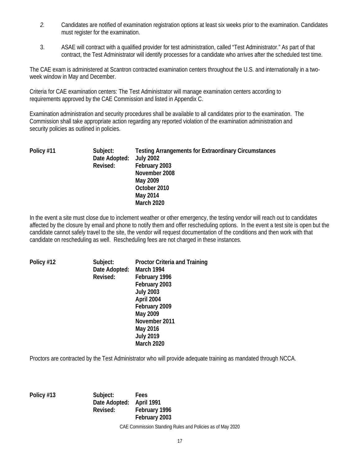- *2.* Candidates are notified of examination registration options at least six weeks prior to the examination. Candidates must register for the examination.
- 3. ASAE will contract with a qualified provider for test administration, called "Test Administrator." As part of that contract, the Test Administrator will identify processes for a candidate who arrives after the scheduled test time.

The CAE exam is administered at Scantron contracted examination centers throughout the U.S. and internationally in a twoweek window in May and December.

Criteria for CAE examination centers: The Test Administrator will manage examination centers according to requirements approved by the CAE Commission and listed in Appendix C.

Examination administration and security procedures shall be available to all candidates prior to the examination. The Commission shall take appropriate action regarding any reported violation of the examination administration and security policies as outlined in policies.

| Policy #11 | Subject:<br>Date Adopted: July 2002<br>Revised: | <b>Testing Arrangements for Extraordinary Circumstances</b><br>February 2003<br>November 2008<br>May 2009<br>October 2010<br>May 2014 |
|------------|-------------------------------------------------|---------------------------------------------------------------------------------------------------------------------------------------|
|            |                                                 | <b>March 2020</b>                                                                                                                     |

In the event a site must close due to inclement weather or other emergency, the testing vendor will reach out to candidates affected by the closure by email and phone to notify them and offer rescheduling options. In the event a test site is open but the candidate cannot safely travel to the site, the vendor will request documentation of the conditions and then work with that candidate on rescheduling as well. Rescheduling fees are not charged in these instances.

| Policy #12 | Subject:<br>Date Adopted: March 1994 | <b>Proctor Criteria and Training</b> |
|------------|--------------------------------------|--------------------------------------|
|            | Revised:                             | February 1996                        |
|            |                                      | February 2003                        |
|            |                                      | <b>July 2003</b>                     |
|            |                                      | April 2004                           |
|            |                                      | February 2009                        |
|            |                                      | May 2009                             |
|            |                                      | November 2011                        |
|            |                                      | May 2016                             |
|            |                                      | <b>July 2019</b>                     |
|            |                                      | <b>March 2020</b>                    |

Proctors are contracted by the Test Administrator who will provide adequate training as mandated through NCCA.

**Policy #13 Subject: Fees Date Adopted: April 1991 Revised: February 1996 February 2003**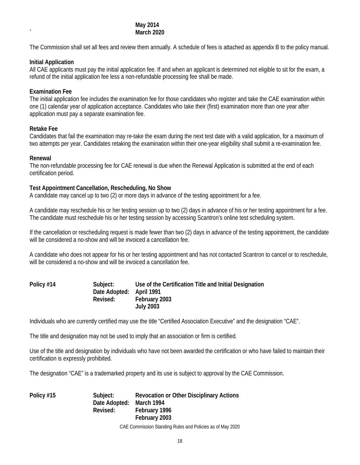#### **May 2014 ` March 2020**

The Commission shall set all fees and review them annually. A schedule of fees is attached as appendix B to the policy manual.

#### **Initial Application**

All CAE applicants must pay the initial application fee. If and when an applicant is determined not eligible to sit for the exam, a refund of the initial application fee less a non-refundable processing fee shall be made.

# **Examination Fee**

The initial application fee includes the examination fee for those candidates who register and take the CAE examination within one (1) calendar year of application acceptance. Candidates who take their (first) examination more than one year after application must pay a separate examination fee.

#### **Retake Fee**

Candidates that fail the examination may re-take the exam during the next test date with a valid application, for a maximum of two attempts per year. Candidates retaking the examination within their one-year eligibility shall submit a re-examination fee.

#### **Renewal**

The non-refundable processing fee for CAE renewal is due when the Renewal Application is submitted at the end of each certification period.

#### **Test Appointment Cancellation, Rescheduling, No Show**

A candidate may cancel up to two (2) or more days in advance of the testing appointment for a fee.

A candidate may reschedule his or her testing session up to two (2) days in advance of his or her testing appointment for a fee. The candidate must reschedule his or her testing session by accessing Scantron's online test scheduling system.

If the cancellation or rescheduling request is made fewer than two (2) days in advance of the testing appointment, the candidate will be considered a no-show and will be invoiced a cancellation fee.

A candidate who does not appear for his or her testing appointment and has not contacted Scantron to cancel or to reschedule, will be considered a no-show and will be invoiced a cancellation fee.

| Policy #14 | Subject:                 | Use of the Certification Title and Initial Designation |
|------------|--------------------------|--------------------------------------------------------|
|            | Date Adopted: April 1991 |                                                        |
|            | Revised:                 | February 2003                                          |
|            |                          | <b>July 2003</b>                                       |

Individuals who are currently certified may use the title "Certified Association Executive" and the designation "CAE".

The title and designation may not be used to imply that an association or firm is certified.

Use of the title and designation by individuals who have not been awarded the certification or who have failed to maintain their certification is expressly prohibited.

The designation "CAE" is a trademarked property and its use is subject to approval by the CAE Commission.

**Policy #15 Subject: Revocation or Other Disciplinary Actions Date Adopted: March 1994 Revised: February 1996 February 2003**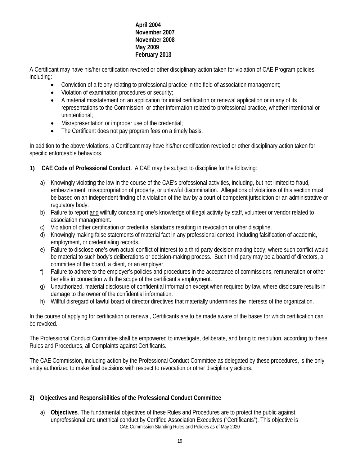# **April 2004 November 2007 November 2008 May 2009 February 2013**

A Certificant may have his/her certification revoked or other disciplinary action taken for violation of CAE Program policies including:

- Conviction of a felony relating to professional practice in the field of association management;
- Violation of examination procedures or security;
- A material misstatement on an application for initial certification or renewal application or in any of its representations to the Commission, or other information related to professional practice, whether intentional or unintentional;
- Misrepresentation or improper use of the credential;
- The Certificant does not pay program fees on a timely basis.

In addition to the above violations, a Certificant may have his/her certification revoked or other disciplinary action taken for specific enforceable behaviors.

- **1) CAE Code of Professional Conduct.** A CAE may be subject to discipline for the following:
	- a) Knowingly violating the law in the course of the CAE's professional activities, including, but not limited to fraud, embezzlement, misappropriation of property, or unlawful discrimination. Allegations of violations of this section must be based on an independent finding of a violation of the law by a court of competent jurisdiction or an administrative or regulatory body.
	- b) Failure to report and willfully concealing one's knowledge of illegal activity by staff, volunteer or vendor related to association management.
	- c) Violation of other certification or credential standards resulting in revocation or other discipline.
	- d) Knowingly making false statements of material fact in any professional context, including falsification of academic, employment, or credentialing records.
	- e) Failure to disclose one's own actual conflict of interest to a third party decision making body, where such conflict would be material to such body's deliberations or decision-making process. Such third party may be a board of directors, a committee of the board, a client, or an employer.
	- f) Failure to adhere to the employer's policies and procedures in the acceptance of commissions, remuneration or other benefits in connection with the scope of the certificant's employment.
	- g) Unauthorized, material disclosure of confidential information except when required by law, where disclosure results in damage to the owner of the confidential information.
	- h) Willful disregard of lawful board of director directives that materially undermines the interests of the organization.

In the course of applying for certification or renewal, Certificants are to be made aware of the bases for which certification can be revoked.

The Professional Conduct Committee shall be empowered to investigate, deliberate, and bring to resolution, according to these Rules and Procedures, all Complaints against Certificants.

The CAE Commission, including action by the Professional Conduct Committee as delegated by these procedures, is the only entity authorized to make final decisions with respect to revocation or other disciplinary actions.

# **2) Objectives and Responsibilities of the Professional Conduct Committee**

CAE Commission Standing Rules and Policies as of May 2020 a) **Objectives**. The fundamental objectives of these Rules and Procedures are to protect the public against unprofessional and unethical conduct by Certified Association Executives ("Certificants"). This objective is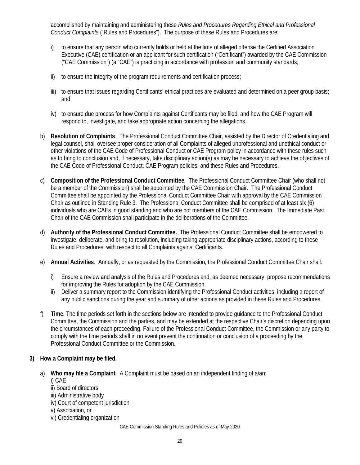accomplished by maintaining and administering these *Rules and Procedures Regarding Ethical and Professional Conduct Complaints* ("Rules and Procedures"). The purpose of these Rules and Procedures are:

- i) to ensure that any person who currently holds or held at the time of alleged offense the Certified Association Executive (CAE) certification or an applicant for such certification ("Certificant") awarded by the CAE Commission ("CAE Commission") (a "CAE") is practicing in accordance with profession and community standards;
- ii) to ensure the integrity of the program requirements and certification process;
- iii) to ensure that issues regarding Certificants' ethical practices are evaluated and determined on a peer group basis; and
- iv) to ensure due process for how Complaints against Certificants may be filed, and how the CAE Program will respond to, investigate, and take appropriate action concerning the allegations.
- b) **Resolution of Complaints**. The Professional Conduct Committee Chair, assisted by the Director of Credentialing and legal counsel, shall oversee proper consideration of all Complaints of alleged unprofessional and unethical conduct or other violations of the CAE Code of Professional Conduct or CAE Program policy in accordance with these rules such as to bring to conclusion and, if necessary, take disciplinary action(s) as may be necessary to achieve the objectives of the CAE Code of Professional Conduct, CAE Program policies, and these Rules and Procedures.
- c) **Composition of the Professional Conduct Committee.** The Professional Conduct Committee Chair (who shall not be a member of the Commission) shall be appointed by the CAE Commission Chair. The Professional Conduct Committee shall be appointed by the Professional Conduct Committee Chair with approval by the CAE Commission Chair as outlined in Standing Rule 3. The Professional Conduct Committee shall be comprised of at least six (6) individuals who are CAEs in good standing and who are not members of the CAE Commission. The Immediate Past Chair of the CAE Commission shall participate in the deliberations of the Committee.
- d) **Authority of the Professional Conduct Committee.** The Professional Conduct Committee shall be empowered to investigate, deliberate, and bring to resolution, including taking appropriate disciplinary actions, according to these Rules and Procedures, with respect to all Complaints against Certificants.
- e) **Annual Activities**. Annually, or as requested by the Commission, the Professional Conduct Committee Chair shall:
	- i) Ensure a review and analysis of the Rules and Procedures and, as deemed necessary, propose recommendations for improving the Rules for adoption by the CAE Commission.
	- ii) Deliver a summary report to the Commission identifying the Professional Conduct activities, including a report of any public sanctions during the year and summary of other actions as provided in these Rules and Procedures.
- f) **Time.** The time periods set forth in the sections below are intended to provide guidance to the Professional Conduct Committee, the Commission and the parties, and may be extended at the respective Chair's discretion depending upon the circumstances of each proceeding. Failure of the Professional Conduct Committee, the Commission or any party to comply with the time periods shall in no event prevent the continuation or conclusion of a proceeding by the Professional Conduct Committee or the Commission.

# **3) How a Complaint may be filed.**

- a) **Who may file a Complaint.** A Complaint must be based on an independent finding of a/an:
	- i) CAE
	- ii) Board of directors iii) Administrative body
	- iv) Court of competent jurisdiction
	- v) Association, or
	- vi) Credentialing organization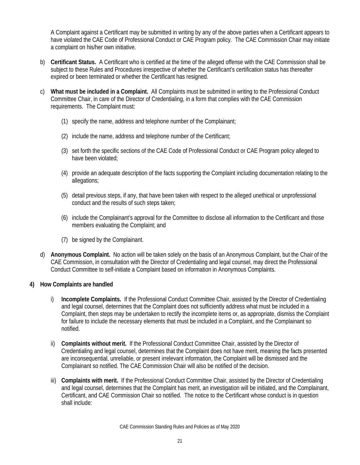A Complaint against a Certificant may be submitted in writing by any of the above parties when a Certificant appears to have violated the CAE Code of Professional Conduct or CAE Program policy. The CAE Commission Chair may initiate a complaint on his/her own initiative.

- b) **Certificant Status.** A Certificant who is certified at the time of the alleged offense with the CAE Commission shall be subject to these Rules and Procedures irrespective of whether the Certificant's certification status has thereafter expired or been terminated or whether the Certificant has resigned.
- c) **What must be included in a Complaint.** All Complaints must be submitted in writing to the Professional Conduct Committee Chair, in care of the Director of Credentialing, in a form that complies with the CAE Commission requirements. The Complaint must:
	- (1) specify the name, address and telephone number of the Complainant;
	- (2) include the name, address and telephone number of the Certificant;
	- (3) set forth the specific sections of the CAE Code of Professional Conduct or CAE Program policy alleged to have been violated;
	- (4) provide an adequate description of the facts supporting the Complaint including documentation relating to the allegations;
	- (5) detail previous steps, if any, that have been taken with respect to the alleged unethical or unprofessional conduct and the results of such steps taken;
	- (6) include the Complainant's approval for the Committee to disclose all information to the Certificant and those members evaluating the Complaint; and
	- (7) be signed by the Complainant.
- d) **Anonymous Complaint.** No action will be taken solely on the basis of an Anonymous Complaint, but the Chair of the CAE Commission, in consultation with the Director of Credentialing and legal counsel, may direct the Professional Conduct Committee to self-initiate a Complaint based on information in Anonymous Complaints.

# **4) How Complaints are handled**

- i) **Incomplete Complaints.** If the Professional Conduct Committee Chair, assisted by the Director of Credentialing and legal counsel, determines that the Complaint does not sufficiently address what must be included in a Complaint, then steps may be undertaken to rectify the incomplete items or, as appropriate, dismiss the Complaint for failure to include the necessary elements that must be included in a Complaint, and the Complainant so notified.
- ii) **Complaints without merit.** If the Professional Conduct Committee Chair, assisted by the Director of Credentialing and legal counsel, determines that the Complaint does not have merit, meaning the facts presented are inconsequential, unreliable, or present irrelevant information, the Complaint will be dismissed and the Complainant so notified. The CAE Commission Chair will also be notified of the decision.
- iii) **Complaints with merit.** If the Professional Conduct Committee Chair, assisted by the Director of Credentialing and legal counsel, determines that the Complaint has merit, an investigation will be initiated, and the Complainant, Certificant, and CAE Commission Chair so notified. The notice to the Certificant whose conduct is in question shall include: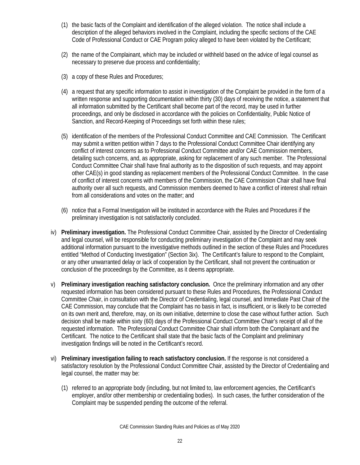- (1) the basic facts of the Complaint and identification of the alleged violation. The notice shall include a description of the alleged behaviors involved in the Complaint, including the specific sections of the CAE Code of Professional Conduct or CAE Program policy alleged to have been violated by the Certificant;
- (2) the name of the Complainant, which may be included or withheld based on the advice of legal counsel as necessary to preserve due process and confidentiality;
- (3) a copy of these Rules and Procedures;
- (4) a request that any specific information to assist in investigation of the Complaint be provided in the form of a written response and supporting documentation within thirty (30) days of receiving the notice, a statement that all information submitted by the Certificant shall become part of the record, may be used in further proceedings, and only be disclosed in accordance with the policies on Confidentiality, Public Notice of Sanction, and Record-Keeping of Proceedings set forth within these rules;
- (5) identification of the members of the Professional Conduct Committee and CAE Commission. The Certificant may submit a written petition within 7 days to the Professional Conduct Committee Chair identifying any conflict of interest concerns as to Professional Conduct Committee and/or CAE Commission members, detailing such concerns, and, as appropriate, asking for replacement of any such member. The Professional Conduct Committee Chair shall have final authority as to the disposition of such requests, and may appoint other CAE(s) in good standing as replacement members of the Professional Conduct Committee. In the case of conflict of interest concerns with members of the Commission, the CAE Commission Chair shall have final authority over all such requests, and Commission members deemed to have a conflict of interest shall refrain from all considerations and votes on the matter; and
- (6) notice that a Formal Investigation will be instituted in accordance with the Rules and Procedures if the preliminary investigation is not satisfactorily concluded.
- iv) **Preliminary investigation.** The Professional Conduct Committee Chair, assisted by the Director of Credentialing and legal counsel, will be responsible for conducting preliminary investigation of the Complaint and may seek additional information pursuant to the investigative methods outlined in the section of these Rules and Procedures entitled "Method of Conducting Investigation" (Section 3ix). The Certificant's failure to respond to the Complaint, or any other unwarranted delay or lack of cooperation by the Certificant, shall not prevent the continuation or conclusion of the proceedings by the Committee, as it deems appropriate.
- v) **Preliminary investigation reaching satisfactory conclusion.** Once the preliminary information and any other requested information has been considered pursuant to these Rules and Procedures, the Professional Conduct Committee Chair, in consultation with the Director of Credentialing, legal counsel, and Immediate Past Chair of the CAE Commission, may conclude that the Complaint has no basis in fact, is insufficient, or is likely to be corrected on its own merit and, therefore, may, on its own initiative, determine to close the case without further action. Such decision shall be made within sixty (60) days of the Professional Conduct Committee Chair's receipt of all of the requested information. The Professional Conduct Committee Chair shall inform both the Complainant and the Certificant. The notice to the Certificant shall state that the basic facts of the Complaint and preliminary investigation findings will be noted in the Certificant's record.
- vi) **Preliminary investigation failing to reach satisfactory conclusion.** If the response is not considered a satisfactory resolution by the Professional Conduct Committee Chair, assisted by the Director of Credentialing and legal counsel, the matter may be:
	- (1) referred to an appropriate body (including, but not limited to, law enforcement agencies, the Certificant's employer, and/or other membership or credentialing bodies). In such cases, the further consideration of the Complaint may be suspended pending the outcome of the referral.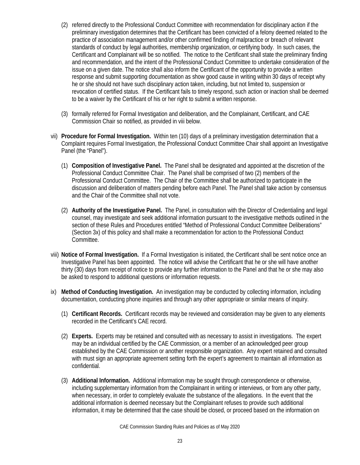- (2) referred directly to the Professional Conduct Committee with recommendation for disciplinary action if the preliminary investigation determines that the Certificant has been convicted of a felony deemed related to the practice of association management and/or other confirmed finding of malpractice or breach of relevant standards of conduct by legal authorities, membership organization, or certifying body. In such cases, the Certificant and Complainant will be so notified. The notice to the Certificant shall state the preliminary finding and recommendation, and the intent of the Professional Conduct Committee to undertake consideration of the issue on a given date. The notice shall also inform the Certificant of the opportunity to provide a written response and submit supporting documentation as show good cause in writing within 30 days of receipt why he or she should not have such disciplinary action taken, including, but not limited to, suspension or revocation of certified status. If the Certificant fails to timely respond, such action or inaction shall be deemed to be a waiver by the Certificant of his or her right to submit a written response.
- (3) formally referred for Formal Investigation and deliberation, and the Complainant, Certificant, and CAE Commission Chair so notified, as provided in viii below.
- vii) **Procedure for Formal Investigation.** Within ten (10) days of a preliminary investigation determination that a Complaint requires Formal Investigation, the Professional Conduct Committee Chair shall appoint an Investigative Panel (the "Panel").
	- (1) **Composition of Investigative Panel.** The Panel shall be designated and appointed at the discretion of the Professional Conduct Committee Chair. The Panel shall be comprised of two (2) members of the Professional Conduct Committee. The Chair of the Committee shall be authorized to participate in the discussion and deliberation of matters pending before each Panel. The Panel shall take action by consensus and the Chair of the Committee shall not vote.
	- (2) **Authority of the Investigative Panel.** The Panel, in consultation with the Director of Credentialing and legal counsel, may investigate and seek additional information pursuant to the investigative methods outlined in the section of these Rules and Procedures entitled "Method of Professional Conduct Committee Deliberations" (Section 3x) of this policy and shall make a recommendation for action to the Professional Conduct Committee.
- viii) **Notice of Formal Investigation.** If a Formal Investigation is initiated, the Certificant shall be sent notice once an Investigative Panel has been appointed. The notice will advise the Certificant that he or she will have another thirty (30) days from receipt of notice to provide any further information to the Panel and that he or she may also be asked to respond to additional questions or information requests.
- ix) **Method of Conducting Investigation.** An investigation may be conducted by collecting information, including documentation, conducting phone inquiries and through any other appropriate or similar means of inquiry.
	- (1) **Certificant Records.** Certificant records may be reviewed and consideration may be given to any elements recorded in the Certificant's CAE record.
	- (2) **Experts.** Experts may be retained and consulted with as necessary to assist in investigations. The expert may be an individual certified by the CAE Commission, or a member of an acknowledged peer group established by the CAE Commission or another responsible organization. Any expert retained and consulted with must sign an appropriate agreement setting forth the expert's agreement to maintain all information as confidential.
	- (3) **Additional Information.** Additional information may be sought through correspondence or otherwise, including supplementary information from the Complainant in writing or interviews, or from any other party, when necessary, in order to completely evaluate the substance of the allegations. In the event that the additional information is deemed necessary but the Complainant refuses to provide such additional information, it may be determined that the case should be closed, or proceed based on the information on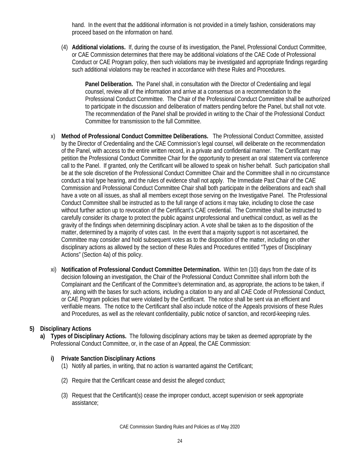hand. In the event that the additional information is not provided in a timely fashion, considerations may proceed based on the information on hand.

(4) **Additional violations.** If, during the course of its investigation, the Panel, Professional Conduct Committee, or CAE Commission determines that there may be additional violations of the CAE Code of Professional Conduct or CAE Program policy, then such violations may be investigated and appropriate findings regarding such additional violations may be reached in accordance with these Rules and Procedures.

**Panel Deliberation.** The Panel shall, in consultation with the Director of Credentialing and legal counsel, review all of the information and arrive at a consensus on a recommendation to the Professional Conduct Committee. The Chair of the Professional Conduct Committee shall be authorized to participate in the discussion and deliberation of matters pending before the Panel, but shall not vote. The recommendation of the Panel shall be provided in writing to the Chair of the Professional Conduct Committee for transmission to the full Committee.

- x) **Method of Professional Conduct Committee Deliberations.** The Professional Conduct Committee, assisted by the Director of Credentialing and the CAE Commission's legal counsel, will deliberate on the recommendation of the Panel, with access to the entire written record, in a private and confidential manner. The Certificant may petition the Professional Conduct Committee Chair for the opportunity to present an oral statement via conference call to the Panel. If granted, only the Certificant will be allowed to speak on his/her behalf. Such participation shall be at the sole discretion of the Professional Conduct Committee Chair and the Committee shall in no circumstance conduct a trial type hearing, and the rules of evidence shall not apply. The Immediate Past Chair of the CAE Commission and Professional Conduct Committee Chair shall both participate in the deliberations and each shall have a vote on all issues, as shall all members except those serving on the Investigative Panel. The Professional Conduct Committee shall be instructed as to the full range of actions it may take, including to close the case without further action up to revocation of the Certificant's CAE credential. The Committee shall be instructed to carefully consider its charge to protect the public against unprofessional and unethical conduct, as well as the gravity of the findings when determining disciplinary action. A vote shall be taken as to the disposition of the matter, determined by a majority of votes cast. In the event that a majority support is not ascertained, the Committee may consider and hold subsequent votes as to the disposition of the matter, including on other disciplinary actions as allowed by the section of these Rules and Procedures entitled "Types of Disciplinary Actions" (Section 4a) of this policy.
- xi) **Notification of Professional Conduct Committee Determination.** Within ten (10) days from the date of its decision following an investigation, the Chair of the Professional Conduct Committee shall inform both the Complainant and the Certificant of the Committee's determination and, as appropriate, the actions to be taken, if any, along with the bases for such actions, including a citation to any and all CAE Code of Professional Conduct, or CAE Program policies that were violated by the Certificant. The notice shall be sent via an efficient and verifiable means. The notice to the Certificant shall also include notice of the Appeals provisions of these Rules and Procedures, as well as the relevant confidentiality, public notice of sanction, and record-keeping rules.

# **5) Disciplinary Actions**

**a) Types of Disciplinary Actions.** The following disciplinary actions may be taken as deemed appropriate by the Professional Conduct Committee, or, in the case of an Appeal, the CAE Commission:

# **i) Private Sanction Disciplinary Actions**

- (1) Notify all parties, in writing, that no action is warranted against the Certificant;
- (2) Require that the Certificant cease and desist the alleged conduct;
- (3) Request that the Certificant(s) cease the improper conduct, accept supervision or seek appropriate assistance;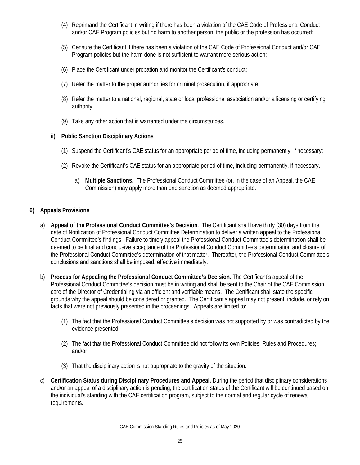- (4) Reprimand the Certificant in writing if there has been a violation of the CAE Code of Professional Conduct and/or CAE Program policies but no harm to another person, the public or the profession has occurred;
- (5) Censure the Certificant if there has been a violation of the CAE Code of Professional Conduct and/or CAE Program policies but the harm done is not sufficient to warrant more serious action;
- (6) Place the Certificant under probation and monitor the Certificant's conduct;
- (7) Refer the matter to the proper authorities for criminal prosecution, if appropriate;
- (8) Refer the matter to a national, regional, state or local professional association and/or a licensing or certifying authority;
- (9) Take any other action that is warranted under the circumstances.

# **ii) Public Sanction Disciplinary Actions**

- (1) Suspend the Certificant's CAE status for an appropriate period of time, including permanently, if necessary;
- (2) Revoke the Certificant's CAE status for an appropriate period of time, including permanently, if necessary.
	- a) **Multiple Sanctions.** The Professional Conduct Committee (or, in the case of an Appeal, the CAE Commission) may apply more than one sanction as deemed appropriate.

# **6) Appeals Provisions**

- a) **Appeal of the Professional Conduct Committee's Decision**. The Certificant shall have thirty (30) days from the date of Notification of Professional Conduct Committee Determination to deliver a written appeal to the Professional Conduct Committee's findings. Failure to timely appeal the Professional Conduct Committee's determination shall be deemed to be final and conclusive acceptance of the Professional Conduct Committee's determination and closure of the Professional Conduct Committee's determination of that matter. Thereafter, the Professional Conduct Committee's conclusions and sanctions shall be imposed, effective immediately.
- b) **Process for Appealing the Professional Conduct Committee's Decision.** The Certificant's appeal of the Professional Conduct Committee's decision must be in writing and shall be sent to the Chair of the CAE Commission care of the Director of Credentialing via an efficient and verifiable means. The Certificant shall state the specific grounds why the appeal should be considered or granted. The Certificant's appeal may not present, include, or rely on facts that were not previously presented in the proceedings. Appeals are limited to:
	- (1) The fact that the Professional Conduct Committee's decision was not supported by or was contradicted by the evidence presented;
	- (2) The fact that the Professional Conduct Committee did not follow its own Policies, Rules and Procedures; and/or
	- (3) That the disciplinary action is not appropriate to the gravity of the situation.
- c) **Certification Status during Disciplinary Procedures and Appeal.** During the period that disciplinary considerations and/or an appeal of a disciplinary action is pending, the certification status of the Certificant will be continued based on the individual's standing with the CAE certification program, subject to the normal and regular cycle of renewal requirements.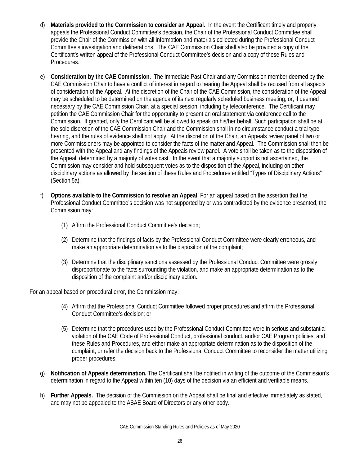- d) **Materials provided to the Commission to consider an Appeal.** In the event the Certificant timely and properly appeals the Professional Conduct Committee's decision, the Chair of the Professional Conduct Committee shall provide the Chair of the Commission with all information and materials collected during the Professional Conduct Committee's investigation and deliberations. The CAE Commission Chair shall also be provided a copy of the Certificant's written appeal of the Professional Conduct Committee's decision and a copy of these Rules and Procedures.
- e) **Consideration by the CAE Commission.** The Immediate Past Chair and any Commission member deemed by the CAE Commission Chair to have a conflict of interest in regard to hearing the Appeal shall be recused from all aspects of consideration of the Appeal. At the discretion of the Chair of the CAE Commission, the consideration of the Appeal may be scheduled to be determined on the agenda of its next regularly scheduled business meeting, or, if deemed necessary by the CAE Commission Chair, at a special session, including by teleconference. The Certificant may petition the CAE Commission Chair for the opportunity to present an oral statement via conference call to the Commission. If granted, only the Certificant will be allowed to speak on his/her behalf. Such participation shall be at the sole discretion of the CAE Commission Chair and the Commission shall in no circumstance conduct a trial type hearing, and the rules of evidence shall not apply. At the discretion of the Chair, an Appeals review panel of two or more Commissioners may be appointed to consider the facts of the matter and Appeal. The Commission shall then be presented with the Appeal and any findings of the Appeals review panel. A vote shall be taken as to the disposition of the Appeal, determined by a majority of votes cast. In the event that a majority support is not ascertained, the Commission may consider and hold subsequent votes as to the disposition of the Appeal, including on other disciplinary actions as allowed by the section of these Rules and Procedures entitled "Types of Disciplinary Actions" (Section 5a).
- f) **Options available to the Commission to resolve an Appeal**. For an appeal based on the assertion that the Professional Conduct Committee's decision was not supported by or was contradicted by the evidence presented, the Commission may:
	- (1) Affirm the Professional Conduct Committee's decision;
	- (2) Determine that the findings of facts by the Professional Conduct Committee were clearly erroneous, and make an appropriate determination as to the disposition of the complaint;
	- (3) Determine that the disciplinary sanctions assessed by the Professional Conduct Committee were grossly disproportionate to the facts surrounding the violation, and make an appropriate determination as to the disposition of the complaint and/or disciplinary action.

For an appeal based on procedural error, the Commission may:

- (4) Affirm that the Professional Conduct Committee followed proper procedures and affirm the Professional Conduct Committee's decision; or
- (5) Determine that the procedures used by the Professional Conduct Committee were in serious and substantial violation of the CAE Code of Professional Conduct, professional conduct, and/or CAE Program policies, and these Rules and Procedures, and either make an appropriate determination as to the disposition of the complaint, or refer the decision back to the Professional Conduct Committee to reconsider the matter utilizing proper procedures.
- g) **Notification of Appeals determination.** The Certificant shall be notified in writing of the outcome of the Commission's determination in regard to the Appeal within ten (10) days of the decision via an efficient and verifiable means.
- h) **Further Appeals.** The decision of the Commission on the Appeal shall be final and effective immediately as stated, and may not be appealed to the ASAE Board of Directors or any other body.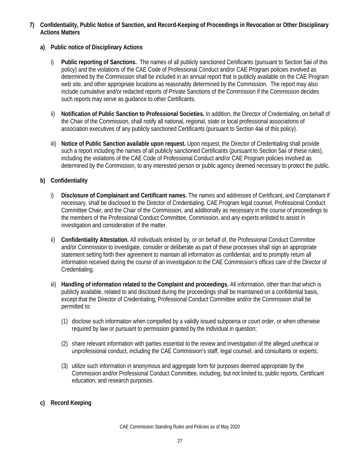- **7) Confidentiality, Public Notice of Sanction, and Record-Keeping of Proceedings in Revocation or Other Disciplinary Actions Matters**
	- **a) Public notice of Disciplinary Actions** 
		- i) **Public reporting of Sanctions.** The names of all publicly sanctioned Certificants (pursuant to Section 5aii of this policy) and the violations of the CAE Code of Professional Conduct and/or CAE Program policies involved as determined by the Commission shall be included in an annual report that is publicly available on the CAE Program web site, and other appropriate locations as reasonably determined by the Commission. The report may also include cumulative and/or redacted reports of Private Sanctions of the Commission if the Commission decides such reports may serve as guidance to other Certificants.
		- ii) **Notification of Public Sanction to Professional Societies.** In addition, the Director of Credentialing, on behalf of the Chair of the Commission, shall notify all national, regional, state or local professional associations of association executives of any publicly sanctioned Certificants (pursuant to Section 4aii of this policy).
		- iii) **Notice of Public Sanction available upon request.** Upon request, the Director of Credentialing shall provide such a report including the names of all publicly sanctioned Certificants (pursuant to Section 5aii of these rules), including the violations of the CAE Code of Professional Conduct and/or CAE Program policies involved as determined by the Commission, to any interested person or public agency deemed necessary to protect the public.

# **b) Confidentiality**

- i) **Disclosure of Complainant and Certificant names.** The names and addresses of Certificant, and Complainant if necessary, shall be disclosed to the Director of Credentialing, CAE Program legal counsel, Professional Conduct Committee Chair, and the Chair of the Commission, and additionally as necessary in the course of proceedings to the members of the Professional Conduct Committee, Commission, and any experts enlisted to assist in investigation and consideration of the matter.
- ii) **Confidentiality Attestation.** All individuals enlisted by, or on behalf of, the Professional Conduct Committee and/or Commission to investigate, consider or deliberate as part of these processes shall sign an appropriate statement setting forth their agreement to maintain all information as confidential, and to promptly return all information received during the course of an investigation to the CAE Commission's offices care of the Director of Credentialing.
- iii) **Handling of information related to the Complaint and proceedings.** All information, other than that which is publicly available, related to and disclosed during the proceedings shall be maintained on a confidential basis, except that the Director of Credentialing, Professional Conduct Committee and/or the Commission shall be permitted to:
	- (1) disclose such information when compelled by a validly issued subpoena or court order, or when otherwise required by law or pursuant to permission granted by the individual in question;
	- (2) share relevant information with parties essential to the review and investigation of the alleged unethical or unprofessional conduct, including the CAE Commission's staff, legal counsel, and consultants or experts;
	- (3) utilize such information in anonymous and aggregate form for purposes deemed appropriate by the Commission and/or Professional Conduct Committee, including, but not limited to, public reports, Certificant education, and research purposes.

# **c) Record Keeping**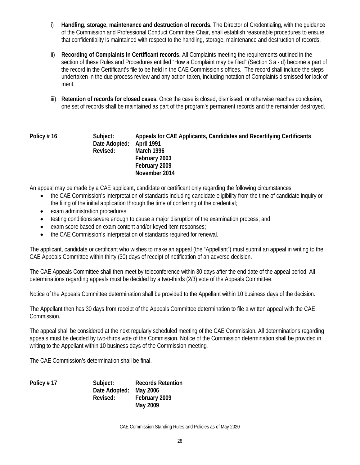- i) **Handling, storage, maintenance and destruction of records.** The Director of Credentialing, with the guidance of the Commission and Professional Conduct Committee Chair, shall establish reasonable procedures to ensure that confidentiality is maintained with respect to the handling, storage, maintenance and destruction of records.
- ii) **Recording of Complaints in Certificant records.** All Complaints meeting the requirements outlined in the section of these Rules and Procedures entitled "How a Complaint may be filed" (Section 3 a - d) become a part of the record in the Certificant's file to be held in the CAE Commission's offices. The record shall include the steps undertaken in the due process review and any action taken, including notation of Complaints dismissed for lack of merit.
- iii) **Retention of records for closed cases.** Once the case is closed, dismissed, or otherwise reaches conclusion, one set of records shall be maintained as part of the program's permanent records and the remainder destroyed.

#### **Policy # 16 Subject: Appeals for CAE Applicants, Candidates and Recertifying Certificants Date Adopted: April 1991 Revised: March 1996 February 2003 February 2009 November 2014**

An appeal may be made by a CAE applicant, candidate or certificant only regarding the following circumstances:

- the CAE Commission's interpretation of standards including candidate eligibility from the time of candidate inquiry or the filing of the initial application through the time of conferring of the credential;
- exam administration procedures;
- testing conditions severe enough to cause a major disruption of the examination process; and
- exam score based on exam content and/or keyed item responses;
- the CAE Commission's interpretation of standards required for renewal.

The applicant, candidate or certificant who wishes to make an appeal (the "Appellant") must submit an appeal in writing to the CAE Appeals Committee within thirty (30) days of receipt of notification of an adverse decision.

The CAE Appeals Committee shall then meet by teleconference within 30 days after the end date of the appeal period. All determinations regarding appeals must be decided by a two-thirds (2/3) vote of the Appeals Committee.

Notice of the Appeals Committee determination shall be provided to the Appellant within 10 business days of the decision.

The Appellant then has 30 days from receipt of the Appeals Committee determination to file a written appeal with the CAE Commission.

The appeal shall be considered at the next regularly scheduled meeting of the CAE Commission. All determinations regarding appeals must be decided by two-thirds vote of the Commission. Notice of the Commission determination shall be provided in writing to the Appellant within 10 business days of the Commission meeting*.*

The CAE Commission's determination shall be final.

| Policy #17 | Subject:      | <b>Records Retention</b> |
|------------|---------------|--------------------------|
|            | Date Adopted: | Mav 2006                 |
|            | Revised:      | February 2009            |
|            |               | May 2009                 |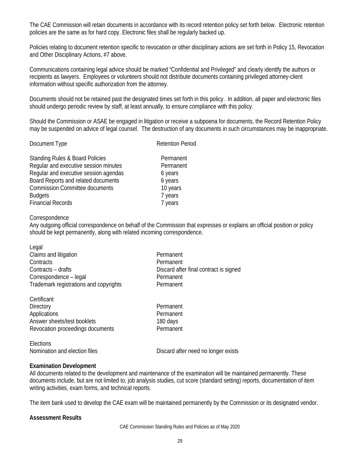The CAE Commission will retain documents in accordance with its record retention policy set forth below. Electronic retention policies are the same as for hard copy. Electronic files shall be regularly backed up.

Policies relating to document retention specific to revocation or other disciplinary actions are set forth in Policy 15, Revocation and Other Disciplinary Actions, #7 above.

Communications containing legal advice should be marked "Confidential and Privileged" and clearly identify the authors or recipients as lawyers. Employees or volunteers should not distribute documents containing privileged attorney-client information without specific authorization from the attorney.

Documents should not be retained past the designated times set forth in this policy. In addition, all paper and electronic files should undergo periodic review by staff, at least annually, to ensure compliance with this policy.

Should the Commission or ASAE be engaged in litigation or receive a subpoena for documents, the Record Retention Policy may be suspended on advice of legal counsel. The destruction of any documents in such circumstances may be inappropriate.

Document Type Retention Period

Standing Rules & Board Policies **Permanent** Regular and executive session minutes **Permanent** Regular and executive session agendas 6 years Board Reports and related documents 6 years Commission Committee documents 10 years Budgets 7 years 7 years Financial Records 7 years

#### **Correspondence**

Any outgoing official correspondence on behalf of the Commission that expresses or explains an official position or policy should be kept permanently, along with related incoming correspondence.

| Legal                                  |
|----------------------------------------|
| Claims and litigation                  |
| Contracts                              |
| Contracts – drafts                     |
| Correspondence - legal                 |
| Trademark registrations and copyrights |

**Certificant** Directory **Permanent** Applications **Permanent** Answer sheets/test booklets 180 days Revocation proceedings documents **Permanent** 

Permanent Permanent Discard after final contract is signed Permanent Permanent

**Elections** 

Nomination and election files Discard after need no longer exists

#### **Examination Development**

All documents related to the development and maintenance of the examination will be maintained permanently. These documents include, but are not limited to, job analysis studies, cut score (standard setting) reports, documentation of item writing activities, exam forms, and technical reports.

The item bank used to develop the CAE exam will be maintained permanently by the Commission or its designated vendor.

#### **Assessment Results**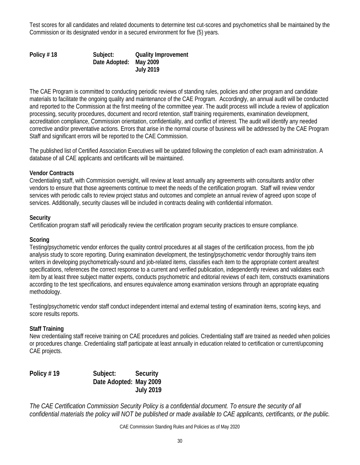Test scores for all candidates and related documents to determine test cut-scores and psychometrics shall be maintained by the Commission or its designated vendor in a secured environment for five (5) years.

**Policy # 18 Subject: Quality Improvement Date Adopted: May 2009 July 2019**

The CAE Program is committed to conducting periodic reviews of standing rules, policies and other program and candidate materials to facilitate the ongoing quality and maintenance of the CAE Program. Accordingly, an annual audit will be conducted and reported to the Commission at the first meeting of the committee year. The audit process will include a review of application processing, security procedures, document and record retention, staff training requirements, examination development, accreditation compliance, Commission orientation, confidentiality, and conflict of interest. The audit will identify any needed corrective and/or preventative actions. Errors that arise in the normal course of business will be addressed by the CAE Program Staff and significant errors will be reported to the CAE Commission.

The published list of Certified Association Executives will be updated following the completion of each exam administration. A database of all CAE applicants and certificants will be maintained.

# **Vendor Contracts**

Credentialing staff, with Commission oversight, will review at least annually any agreements with consultants and/or other vendors to ensure that those agreements continue to meet the needs of the certification program. Staff will review vendor services with periodic calls to review project status and outcomes and complete an annual review of agreed upon scope of services. Additionally, security clauses will be included in contracts dealing with confidential information.

# **Security**

Certification program staff will periodically review the certification program security practices to ensure compliance.

# **Scoring**

Testing/psychometric vendor enforces the quality control procedures at all stages of the certification process, from the job analysis study to score reporting. During examination development, the testing/psychometric vendor thoroughly trains item writers in developing psychometrically-sound and job-related items, classifies each item to the appropriate content area/test specifications, references the correct response to a current and verified publication, independently reviews and validates each item by at least three subject matter experts, conducts psychometric and editorial reviews of each item, constructs examinations according to the test specifications, and ensures equivalence among examination versions through an appropriate equating methodology.

Testing/psychometric vendor staff conduct independent internal and external testing of examination items, scoring keys, and score results reports.

# **Staff Training**

New credentialing staff receive training on CAE procedures and policies. Credentialing staff are trained as needed when policies or procedures change. Credentialing staff participate at least annually in education related to certification or current/upcoming CAE projects.

**Policy # 19 Subject: Security Date Adopted: May 2009 July 2019**

*The CAE Certification Commission Security Policy is a confidential document. To ensure the security of all confidential materials the policy will NOT be published or made available to CAE applicants, certificants, or the public.*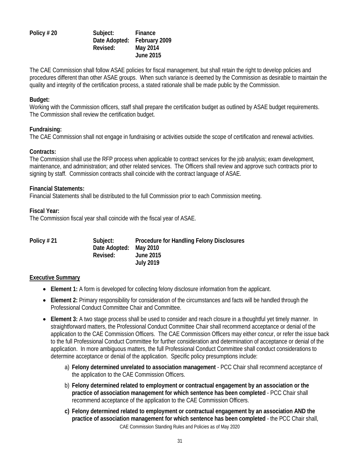# **Policy # 20 Subject: Finance Date Adopted: February 2009 Revised: May 2014 June 2015**

The CAE Commission shall follow ASAE policies for fiscal management, but shall retain the right to develop policies and procedures different than other ASAE groups. When such variance is deemed by the Commission as desirable to maintain the quality and integrity of the certification process, a stated rationale shall be made public by the Commission.

#### **Budget:**

Working with the Commission officers, staff shall prepare the certification budget as outlined by ASAE budget requirements. The Commission shall review the certification budget.

# **Fundraising:**

The CAE Commission shall not engage in fundraising or activities outside the scope of certification and renewal activities.

#### **Contracts:**

The Commission shall use the RFP process when applicable to contract services for the job analysis; exam development, maintenance, and administration; and other related services. The Officers shall review and approve such contracts prior to signing by staff. Commission contracts shall coincide with the contract language of ASAE.

#### **Financial Statements:**

Financial Statements shall be distributed to the full Commission prior to each Commission meeting.

# **Fiscal Year:**

The Commission fiscal year shall coincide with the fiscal year of ASAE.

| Policy #21 | Subject:      | <b>Procedure for Handling Felony Disclosures</b> |
|------------|---------------|--------------------------------------------------|
|            | Date Adopted: | May 2010                                         |
|            | Revised:      | June 2015                                        |
|            |               | <b>July 2019</b>                                 |

#### **Executive Summary**

- **Element 1:** A form is developed for collecting felony disclosure information from the applicant.
- **Element 2:** Primary responsibility for consideration of the circumstances and facts will be handled through the Professional Conduct Committee Chair and Committee.
- **Element 3:** A two stage process shall be used to consider and reach closure in a thoughtful yet timely manner.In straightforward matters, the Professional Conduct Committee Chair shall recommend acceptance or denial of the application to the CAE Commission Officers. The CAE Commission Officers may either concur, or refer the issue back to the full Professional Conduct Committee for further consideration and determination of acceptance or denial of the application. In more ambiguous matters, the full Professional Conduct Committee shall conduct considerations to determine acceptance or denial of the application. Specific policy presumptions include:
	- a) **Felony determined unrelated to association management** PCC Chair shall recommend acceptance of the application to the CAE Commission Officers.
	- b) **Felony determined related to employment or contractual engagement by an association or the practice of association management for which sentence has been completed** - PCC Chair shall recommend acceptance of the application to the CAE Commission Officers.
	- CAE Commission Standing Rules and Policies as of May 2020 **c) Felony determined related to employment or contractual engagement by an association AND the practice of association management for which sentence has been completed** - the PCC Chair shall,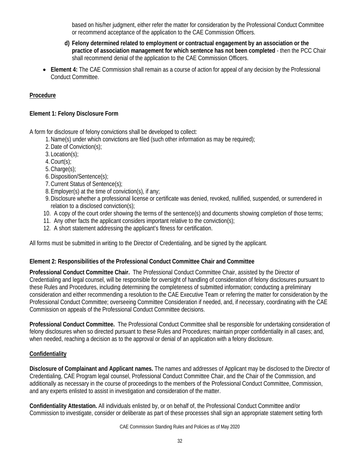based on his/her judgment, either refer the matter for consideration by the Professional Conduct Committee or recommend acceptance of the application to the CAE Commission Officers.

- **d) Felony determined related to employment or contractual engagement by an association or the practice of association management for which sentence has not been completed** - then the PCC Chair shall recommend denial of the application to the CAE Commission Officers.
- **Element 4:** The CAE Commission shall remain as a course of action for appeal of any decision by the Professional Conduct Committee.

# **Procedure**

# **Element 1: Felony Disclosure Form**

A form for disclosure of felony convictions shall be developed to collect:

- 1.Name(s) under which convictions are filed (such other information as may be required);
- 2.Date of Conviction(s);
- 3. Location(s);
- 4.Court(s);
- 5. Charge(s):
- 6.Disposition/Sentence(s);
- 7.Current Status of Sentence(s);
- 8.Employer(s) at the time of conviction(s), if any;
- 9.Disclosure whether a professional license or certificate was denied, revoked, nullified, suspended, or surrendered in relation to a disclosed conviction(s);
- 10. A copy of the court order showing the terms of the sentence(s) and documents showing completion of those terms;
- 11. Any other facts the applicant considers important relative to the conviction(s);
- 12. A short statement addressing the applicant's fitness for certification.

All forms must be submitted in writing to the Director of Credentialing, and be signed by the applicant.

# **Element 2: Responsibilities of the Professional Conduct Committee Chair and Committee**

**Professional Conduct Committee Chair.** The Professional Conduct Committee Chair, assisted by the Director of Credentialing and legal counsel, will be responsible for oversight of handling of consideration of felony disclosures pursuant to these Rules and Procedures, including determining the completeness of submitted information; conducting a preliminary consideration and either recommending a resolution to the CAE Executive Team or referring the matter for consideration by the Professional Conduct Committee; overseeing Committee Consideration if needed, and, if necessary, coordinating with the CAE Commission on appeals of the Professional Conduct Committee decisions.

**Professional Conduct Committee.** The Professional Conduct Committee shall be responsible for undertaking consideration of felony disclosures when so directed pursuant to these Rules and Procedures; maintain proper confidentiality in all cases; and, when needed, reaching a decision as to the approval or denial of an application with a felony disclosure.

# **Confidentiality**

**Disclosure of Complainant and Applicant names.** The names and addresses of Applicant may be disclosed to the Director of Credentialing, CAE Program legal counsel, Professional Conduct Committee Chair, and the Chair of the Commission, and additionally as necessary in the course of proceedings to the members of the Professional Conduct Committee, Commission, and any experts enlisted to assist in investigation and consideration of the matter.

**Confidentiality Attestation.** All individuals enlisted by, or on behalf of, the Professional Conduct Committee and/or Commission to investigate, consider or deliberate as part of these processes shall sign an appropriate statement setting forth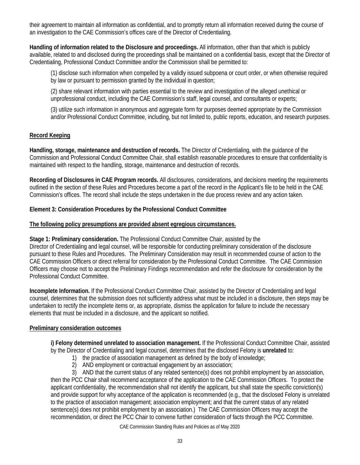their agreement to maintain all information as confidential, and to promptly return all information received during the course of an investigation to the CAE Commission's offices care of the Director of Credentialing.

**Handling of information related to the Disclosure and proceedings.** All information, other than that which is publicly available, related to and disclosed during the proceedings shall be maintained on a confidential basis, except that the Director of Credentialing, Professional Conduct Committee and/or the Commission shall be permitted to:

(1) disclose such information when compelled by a validly issued subpoena or court order, or when otherwise required by law or pursuant to permission granted by the individual in question;

(2) share relevant information with parties essential to the review and investigation of the alleged unethical or unprofessional conduct, including the CAE Commission's staff, legal counsel, and consultants or experts;

(3) utilize such information in anonymous and aggregate form for purposes deemed appropriate by the Commission and/or Professional Conduct Committee, including, but not limited to, public reports, education, and research purposes.

# **Record Keeping**

**Handling, storage, maintenance and destruction of records.** The Director of Credentialing, with the guidance of the Commission and Professional Conduct Committee Chair, shall establish reasonable procedures to ensure that confidentiality is maintained with respect to the handling, storage, maintenance and destruction of records.

**Recording of Disclosures in CAE Program records.** All disclosures, considerations, and decisions meeting the requirements outlined in the section of these Rules and Procedures become a part of the record in the Applicant's file to be held in the CAE Commission's offices. The record shall include the steps undertaken in the due process review and any action taken.

# **Element 3: Consideration Procedures by the Professional Conduct Committee**

# **The following policy presumptions are provided absent egregious circumstances.**

**Stage 1: Preliminary consideration.** The Professional Conduct Committee Chair, assisted by the Director of Credentialing and legal counsel, will be responsible for conducting preliminary consideration of the disclosure pursuant to these Rules and Procedures. The Preliminary Consideration may result in recommended course of action to the CAE Commission Officers or direct referral for consideration by the Professional Conduct Committee. The CAE Commission Officers may choose not to accept the Preliminary Findings recommendation and refer the disclosure for consideration by the Professional Conduct Committee.

**Incomplete Information.** If the Professional Conduct Committee Chair, assisted by the Director of Credentialing and legal counsel, determines that the submission does not sufficiently address what must be included in a disclosure, then steps may be undertaken to rectify the incomplete items or, as appropriate, dismiss the application for failure to include the necessary elements that must be included in a disclosure, and the applicant so notified.

# **Preliminary consideration outcomes**

**i) Felony determined unrelated to association management.** If the Professional Conduct Committee Chair, assisted by the Director of Credentialing and legal counsel, determines that the disclosed Felony is **unrelated** to:

- 1) the practice of association management as defined by the body of knowledge;
- 2) AND employment or contractual engagement by an association;

3) AND that the current status of any related sentence(s) does not prohibit employment by an association, then the PCC Chair shall recommend acceptance of the application to the CAE Commission Officers. To protect the applicant confidentiality, the recommendation shall not identify the applicant, but shall state the specific conviction(s) and provide support for why acceptance of the application is recommended (e.g., that the disclosed Felony is unrelated to the practice of association management; association employment; and that the current status of any related sentence(s) does not prohibit employment by an association.) The CAE Commission Officers may accept the recommendation, or direct the PCC Chair to convene further consideration of facts through the PCC Committee.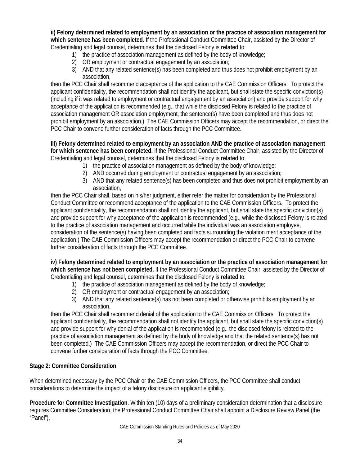**ii) Felony determined related to employment by an association or the practice of association management for which sentence has been completed.** If the Professional Conduct Committee Chair, assisted by the Director of Credentialing and legal counsel, determines that the disclosed Felony is **related** to:

- 1) the practice of association management as defined by the body of knowledge;
- 2) OR employment or contractual engagement by an association;
- 3) AND that any related sentence(s) has been completed and thus does not prohibit employment by an association,

then the PCC Chair shall recommend acceptance of the application to the CAE Commission Officers. To protect the applicant confidentiality, the recommendation shall not identify the applicant, but shall state the specific conviction(s) (including if it was related to employment or contractual engagement by an association) and provide support for why acceptance of the application is recommended (e.g., that while the disclosed Felony is related to the practice of association management OR association employment, the sentence(s) have been completed and thus does not prohibit employment by an association.) The CAE Commission Officers may accept the recommendation, or direct the PCC Chair to convene further consideration of facts through the PCC Committee.

#### **iii) Felony determined related to employment by an association AND the practice of association management for which sentence has been completed.** If the Professional Conduct Committee Chair, assisted by the Director of Credentialing and legal counsel, determines that the disclosed Felony is **related** to:

- 1) the practice of association management as defined by the body of knowledge;
- 2) AND occurred during employment or contractual engagement by an association;
- 3) AND that any related sentence(s) has been completed and thus does not prohibit employment by an association,

then the PCC Chair shall, based on his/her judgment, either refer the matter for consideration by the Professional Conduct Committee or recommend acceptance of the application to the CAE Commission Officers. To protect the applicant confidentiality, the recommendation shall not identify the applicant, but shall state the specific conviction(s) and provide support for why acceptance of the application is recommended (e.g., while the disclosed Felony is related to the practice of association management and occurred while the individual was an association employee, consideration of the sentence(s) having been completed and facts surrounding the violation merit acceptance of the application.) The CAE Commission Officers may accept the recommendation or direct the PCC Chair to convene further consideration of facts through the PCC Committee.

**iv) Felony determined related to employment by an association or the practice of association management for which sentence has not been completed.** If the Professional Conduct Committee Chair, assisted by the Director of Credentialing and legal counsel, determines that the disclosed Felony is **related** to:

- 1) the practice of association management as defined by the body of knowledge;
- 2) OR employment or contractual engagement by an association;
- 3) AND that any related sentence(s) has not been completed or otherwise prohibits employment by an association,

then the PCC Chair shall recommend denial of the application to the CAE Commission Officers. To protect the applicant confidentiality, the recommendation shall not identify the applicant, but shall state the specific conviction(s) and provide support for why denial of the application is recommended (e.g., the disclosed felony is related to the practice of association management as defined by the body of knowledge and that the related sentence(s) has not been completed.) The CAE Commission Officers may accept the recommendation, or direct the PCC Chair to convene further consideration of facts through the PCC Committee.

# **Stage 2: Committee Consideration**

When determined necessary by the PCC Chair or the CAE Commission Officers, the PCC Committee shall conduct considerations to determine the impact of a felony disclosure on applicant eligibility.

**Procedure for Committee Investigation**. Within ten (10) days of a preliminary consideration determination that a disclosure requires Committee Consideration, the Professional Conduct Committee Chair shall appoint a Disclosure Review Panel (the "Panel").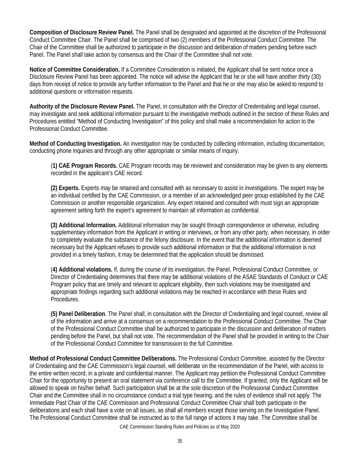**Composition of Disclosure Review Panel.** The Panel shall be designated and appointed at the discretion of the Professional Conduct Committee Chair. The Panel shall be comprised of two (2) members of the Professional Conduct Committee. The Chair of the Committee shall be authorized to participate in the discussion and deliberation of matters pending before each Panel. The Panel shall take action by consensus and the Chair of the Committee shall not vote.

**Notice of Committee Consideration.** If a Committee Consideration is initiated, the Applicant shall be sent notice once a Disclosure Review Panel has been appointed. The notice will advise the Applicant that he or she will have another thirty (30) days from receipt of notice to provide any further information to the Panel and that he or she may also be asked to respond to additional questions or information requests.

**Authority of the Disclosure Review Panel.** The Panel, in consultation with the Director of Credentialing and legal counsel, may investigate and seek additional information pursuant to the investigative methods outlined in the section of these Rules and Procedures entitled "Method of Conducting Investigation" of this policy and shall make a recommendation for action to the Professional Conduct Committee.

**Method of Conducting Investigation.** An investigation may be conducted by collecting information, including documentation, conducting phone inquiries and through any other appropriate or similar means of inquiry.

(**1) CAE Program Records.** CAE Program records may be reviewed and consideration may be given to any elements recorded in the applicant's CAE record.

**(2) Experts.** Experts may be retained and consulted with as necessary to assist in investigations. The expert may be an individual certified by the CAE Commission, or a member of an acknowledged peer group established by the CAE Commission or another responsible organization. Any expert retained and consulted with must sign an appropriate agreement setting forth the expert's agreement to maintain all information as confidential.

**(3) Additional Information.** Additional information may be sought through correspondence or otherwise, including supplementary information from the Applicant in writing or interviews, or from any other party, when necessary, in order to completely evaluate the substance of the felony disclosure. In the event that the additional information is deemed necessary but the Applicant refuses to provide such additional information or that the additional information is not provided in a timely fashion, it may be determined that the application should be dismissed.

(**4) Additional violations.** If, during the course of its investigation, the Panel, Professional Conduct Committee, or Director of Credentialing determines that there may be additional violations of the ASAE Standards of Conduct or CAE Program policy that are timely and relevant to applicant eligibility, then such violations may be investigated and appropriate findings regarding such additional violations may be reached in accordance with these Rules and Procedures.

**(5) Panel Deliberation**. The Panel shall, in consultation with the Director of Credentialing and legal counsel, review all of the information and arrive at a consensus on a recommendation to the Professional Conduct Committee. The Chair of the Professional Conduct Committee shall be authorized to participate in the discussion and deliberation of matters pending before the Panel, but shall not vote. The recommendation of the Panel shall be provided in writing to the Chair of the Professional Conduct Committee for transmission to the full Committee.

**Method of Professional Conduct Committee Deliberations.** The Professional Conduct Committee, assisted by the Director of Credentialing and the CAE Commission's legal counsel, will deliberate on the recommendation of the Panel, with access to the entire written record, in a private and confidential manner. The Applicant may petition the Professional Conduct Committee Chair for the opportunity to present an oral statement via conference call to the Committee. If granted, only the Applicant will be allowed to speak on his/her behalf. Such participation shall be at the sole discretion of the Professional Conduct Committee Chair and the Committee shall in no circumstance conduct a trial type hearing, and the rules of evidence shall not apply. The Immediate Past Chair of the CAE Commission and Professional Conduct Committee Chair shall both participate in the deliberations and each shall have a vote on all issues, as shall all members except those serving on the Investigative Panel. The Professional Conduct Committee shall be instructed as to the full range of actions it may take. The Committee shall be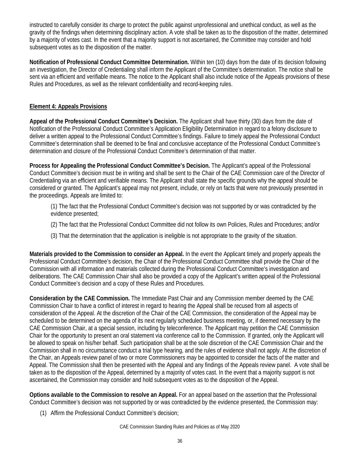instructed to carefully consider its charge to protect the public against unprofessional and unethical conduct, as well as the gravity of the findings when determining disciplinary action. A vote shall be taken as to the disposition of the matter, determined by a majority of votes cast. In the event that a majority support is not ascertained, the Committee may consider and hold subsequent votes as to the disposition of the matter.

**Notification of Professional Conduct Committee Determination.** Within ten (10) days from the date of its decision following an investigation, the Director of Credentialing shall inform the Applicant of the Committee's determination. The notice shall be sent via an efficient and verifiable means. The notice to the Applicant shall also include notice of the Appeals provisions of these Rules and Procedures, as well as the relevant confidentiality and record-keeping rules.

# **Element 4: Appeals Provisions**

**Appeal of the Professional Conduct Committee's Decision.** The Applicant shall have thirty (30) days from the date of Notification of the Professional Conduct Committee's Application Eligibility Determination in regard to a felony disclosure to deliver a written appeal to the Professional Conduct Committee's findings. Failure to timely appeal the Professional Conduct Committee's determination shall be deemed to be final and conclusive acceptance of the Professional Conduct Committee's determination and closure of the Professional Conduct Committee's determination of that matter.

**Process for Appealing the Professional Conduct Committee's Decision.** The Applicant's appeal of the Professional Conduct Committee's decision must be in writing and shall be sent to the Chair of the CAE Commission care of the Director of Credentialing via an efficient and verifiable means. The Applicant shall state the specific grounds why the appeal should be considered or granted. The Applicant's appeal may not present, include, or rely on facts that were not previously presented in the proceedings. Appeals are limited to:

(1) The fact that the Professional Conduct Committee's decision was not supported by or was contradicted by the evidence presented;

- (2) The fact that the Professional Conduct Committee did not follow its own Policies, Rules and Procedures; and/or
- (3) That the determination that the application is ineligible is not appropriate to the gravity of the situation.

**Materials provided to the Commission to consider an Appeal.** In the event the Applicant timely and properly appeals the Professional Conduct Committee's decision, the Chair of the Professional Conduct Committee shall provide the Chair of the Commission with all information and materials collected during the Professional Conduct Committee's investigation and deliberations. The CAE Commission Chair shall also be provided a copy of the Applicant's written appeal of the Professional Conduct Committee's decision and a copy of these Rules and Procedures.

**Consideration by the CAE Commission.** The Immediate Past Chair and any Commission member deemed by the CAE Commission Chair to have a conflict of interest in regard to hearing the Appeal shall be recused from all aspects of consideration of the Appeal. At the discretion of the Chair of the CAE Commission, the consideration of the Appeal may be scheduled to be determined on the agenda of its next regularly scheduled business meeting, or, if deemed necessary by the CAE Commission Chair, at a special session, including by teleconference. The Applicant may petition the CAE Commission Chair for the opportunity to present an oral statement via conference call to the Commission. If granted, only the Applicant will be allowed to speak on his/her behalf. Such participation shall be at the sole discretion of the CAE Commission Chair and the Commission shall in no circumstance conduct a trial type hearing, and the rules of evidence shall not apply. At the discretion of the Chair, an Appeals review panel of two or more Commissioners may be appointed to consider the facts of the matter and Appeal. The Commission shall then be presented with the Appeal and any findings of the Appeals review panel. A vote shall be taken as to the disposition of the Appeal, determined by a majority of votes cast. In the event that a majority support is not ascertained, the Commission may consider and hold subsequent votes as to the disposition of the Appeal.

**Options available to the Commission to resolve an Appeal.** For an appeal based on the assertion that the Professional Conduct Committee's decision was not supported by or was contradicted by the evidence presented, the Commission may:

(1) Affirm the Professional Conduct Committee's decision;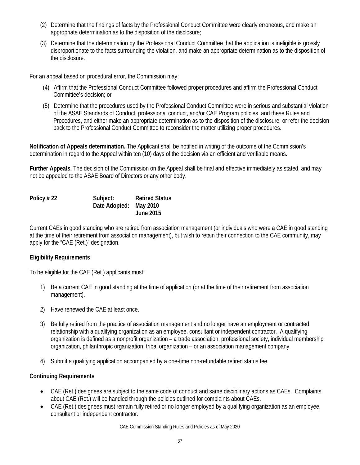- (2) Determine that the findings of facts by the Professional Conduct Committee were clearly erroneous, and make an appropriate determination as to the disposition of the disclosure;
- (3) Determine that the determination by the Professional Conduct Committee that the application is ineligible is grossly disproportionate to the facts surrounding the violation, and make an appropriate determination as to the disposition of the disclosure.

For an appeal based on procedural error, the Commission may:

- (4) Affirm that the Professional Conduct Committee followed proper procedures and affirm the Professional Conduct Committee's decision; or
- (5) Determine that the procedures used by the Professional Conduct Committee were in serious and substantial violation of the ASAE Standards of Conduct, professional conduct, and/or CAE Program policies, and these Rules and Procedures, and either make an appropriate determination as to the disposition of the disclosure, or refer the decision back to the Professional Conduct Committee to reconsider the matter utilizing proper procedures.

**Notification of Appeals determination.** The Applicant shall be notified in writing of the outcome of the Commission's determination in regard to the Appeal within ten (10) days of the decision via an efficient and verifiable means.

**Further Appeals.** The decision of the Commission on the Appeal shall be final and effective immediately as stated, and may not be appealed to the ASAE Board of Directors or any other body.

| Policy #22 | Subject:               | <b>Retired Status</b> |
|------------|------------------------|-----------------------|
|            | Date Adopted: May 2010 |                       |
|            |                        | <b>June 2015</b>      |

Current CAEs in good standing who are retired from association management (or individuals who were a CAE in good standing at the time of their retirement from association management), but wish to retain their connection to the CAE community, may apply for the "CAE (Ret.)" designation.

# **Eligibility Requirements**

To be eligible for the CAE (Ret.) applicants must:

- 1) Be a current CAE in good standing at the time of application (or at the time of their retirement from association management).
- 2) Have renewed the CAE at least once.
- 3) Be fully retired from the practice of association management and no longer have an employment or contracted relationship with a qualifying organization as an employee, consultant or independent contractor. A qualifying organization is defined as a nonprofit organization – a trade association, professional society, individual membership organization, philanthropic organization, tribal organization – or an association management company.
- 4) Submit a qualifying application accompanied by a one-time non-refundable retired status fee.

# **Continuing Requirements**

- CAE (Ret.) designees are subject to the same code of conduct and same disciplinary actions as CAEs. Complaints about CAE (Ret.) will be handled through the policies outlined for complaints about CAEs.
- CAE (Ret.) designees must remain fully retired or no longer employed by a qualifying organization as an employee, consultant or independent contractor.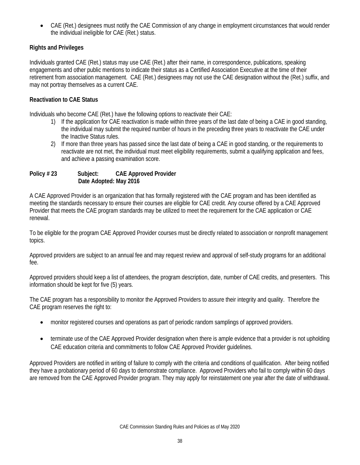• CAE (Ret.) designees must notify the CAE Commission of any change in employment circumstances that would render the individual ineligible for CAE (Ret.) status.

# **Rights and Privileges**

Individuals granted CAE (Ret.) status may use CAE (Ret.) after their name, in correspondence, publications, speaking engagements and other public mentions to indicate their status as a Certified Association Executive at the time of their retirement from association management. CAE (Ret.) designees may not use the CAE designation without the (Ret.) suffix, and may not portray themselves as a current CAE.

# **Reactivation to CAE Status**

Individuals who become CAE (Ret.) have the following options to reactivate their CAE:

- 1) If the application for CAE reactivation is made within three years of the last date of being a CAE in good standing, the individual may submit the required number of hours in the preceding three years to reactivate the CAE under the Inactive Status rules.
- 2) If more than three years has passed since the last date of being a CAE in good standing, or the requirements to reactivate are not met, the individual must meet eligibility requirements, submit a qualifying application and fees, and achieve a passing examination score.

# **Policy # 23 Subject: CAE Approved Provider Date Adopted: May 2016**

A CAE Approved Provider is an organization that has formally registered with the CAE program and has been identified as meeting the standards necessary to ensure their courses are eligible for CAE credit. Any course offered by a CAE Approved Provider that meets the CAE program standards may be utilized to meet the requirement for the CAE application or CAE renewal.

To be eligible for the program CAE Approved Provider courses must be directly related to association or nonprofit management topics.

Approved providers are subject to an annual fee and may request review and approval of self-study programs for an additional fee.

Approved providers should keep a list of attendees, the program description, date, number of CAE credits, and presenters. This information should be kept for five (5) years.

The CAE program has a responsibility to monitor the Approved Providers to assure their integrity and quality. Therefore the CAE program reserves the right to:

- monitor registered courses and operations as part of periodic random samplings of approved providers.
- terminate use of the CAE Approved Provider designation when there is ample evidence that a provider is not upholding CAE education criteria and commitments to follow CAE Approved Provider guidelines.

Approved Providers are notified in writing of failure to comply with the criteria and conditions of qualification. After being notified they have a probationary period of 60 days to demonstrate compliance. Approved Providers who fail to comply within 60 days are removed from the CAE Approved Provider program. They may apply for reinstatement one year after the date of withdrawal.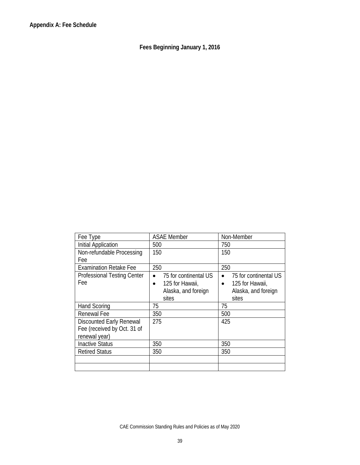**Fees Beginning January 1, 2016**

| <b>ASAE Member</b>           | Non-Member                   |
|------------------------------|------------------------------|
| 500                          | 750                          |
| 150                          | 150                          |
|                              |                              |
| 250                          | 250                          |
| 75 for continental US        | 75 for continental US        |
| 125 for Hawaii,<br>$\bullet$ | 125 for Hawaii,<br>$\bullet$ |
| Alaska, and foreign          | Alaska, and foreign          |
| sites                        | sites                        |
| 75                           | 75                           |
| 350                          | 500                          |
| 275                          | 425                          |
|                              |                              |
|                              |                              |
| 350                          | 350                          |
| 350                          | 350                          |
|                              |                              |
|                              |                              |
|                              |                              |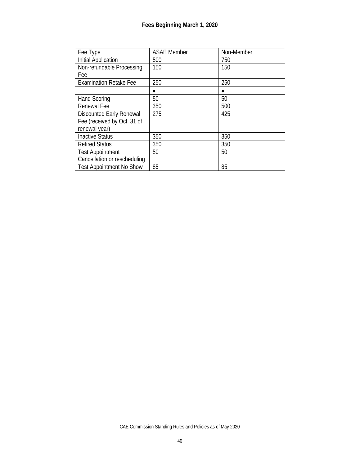| Fee Type                        | <b>ASAE Member</b> | Non-Member |
|---------------------------------|--------------------|------------|
| Initial Application             | 500                | 750        |
| Non-refundable Processing       | 150                | 150        |
| Fee                             |                    |            |
| <b>Examination Retake Fee</b>   | 250                | 250        |
|                                 |                    |            |
| <b>Hand Scoring</b>             | 50                 | 50         |
| <b>Renewal Fee</b>              | 350                | 500        |
| <b>Discounted Early Renewal</b> | 275                | 425        |
| Fee (received by Oct. 31 of     |                    |            |
| renewal year)                   |                    |            |
| <b>Inactive Status</b>          | 350                | 350        |
| <b>Retired Status</b>           | 350                | 350        |
| <b>Test Appointment</b>         | 50                 | 50         |
| Cancellation or rescheduling    |                    |            |
| <b>Test Appointment No Show</b> | 85                 | 85         |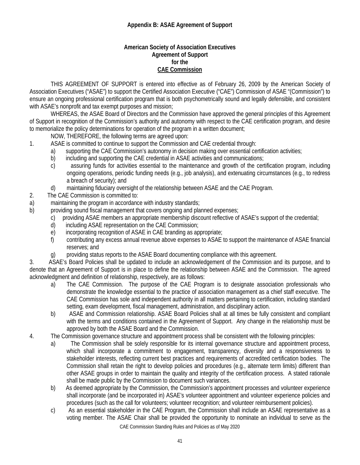# **Appendix B: ASAE Agreement of Support**

#### **American Society of Association Executives Agreement of Support for the CAE Commission**

THIS AGREEMENT OF SUPPORT is entered into effective as of February 26, 2009 by the American Society of Association Executives ("ASAE") to support the Certified Association Executive ("CAE") Commission of ASAE "(Commission") to ensure an ongoing professional certification program that is both psychometrically sound and legally defensible, and consistent with ASAE's nonprofit and tax exempt purposes and mission;

WHEREAS, the ASAE Board of Directors and the Commission have approved the general principles of this Agreement of Support in recognition of the Commission's authority and autonomy with respect to the CAE certification program, and desire to memorialize the policy determinations for operation of the program in a written document;

NOW, THEREFORE, the following terms are agreed upon:

- 1. ASAE is committed to continue to support the Commission and CAE credential through:
	- a) supporting the CAE Commission's autonomy in decision making over essential certification activities;
	- b) including and supporting the CAE credential in ASAE activities and communications;
	- c) assuring funds for activities essential to the maintenance and growth of the certification program, including ongoing operations, periodic funding needs (e.g., job analysis), and extenuating circumstances (e.g., to redress a breach of security); and
	- d) maintaining fiduciary oversight of the relationship between ASAE and the CAE Program.
- 2. The CAE Commission is committed to:
- a) maintaining the program in accordance with industry standards;
- b) providing sound fiscal management that covers ongoing and planned expenses;
	- c) providing ASAE members an appropriate membership discount reflective of ASAE's support of the credential;
	- d) including ASAE representation on the CAE Commission;
	- e) incorporating recognition of ASAE in CAE branding as appropriate;
	- f) contributing any excess annual revenue above expenses to ASAE to support the maintenance of ASAE financial reserves; and
	- g) providing status reports to the ASAE Board documenting compliance with this agreement.

3. ASAE's Board Policies shall be updated to include an acknowledgement of the Commission and its purpose, and to denote that an Agreement of Support is in place to define the relationship between ASAE and the Commission. The agreed acknowledgment and definition of relationship, respectively, are as follows:

- a) The CAE Commission. The purpose of the CAE Program is to designate association professionals who demonstrate the knowledge essential to the practice of association management as a chief staff executive. The CAE Commission has sole and independent authority in all matters pertaining to certification, including standard setting, exam development, fiscal management, administration, and disciplinary action.
- b) ASAE and Commission relationship. ASAE Board Policies shall at all times be fully consistent and compliant with the terms and conditions contained in the Agreement of Support. Any change in the relationship must be approved by both the ASAE Board and the Commission.
- 4. The Commission governance structure and appointment process shall be consistent with the following principles:
	- a) The Commission shall be solely responsible for its internal governance structure and appointment process, which shall incorporate a commitment to engagement, transparency, diversity and a responsiveness to stakeholder interests, reflecting current best practices and requirements of accredited certification bodies. The Commission shall retain the right to develop policies and procedures (e.g., alternate term limits) different than other ASAE groups in order to maintain the quality and integrity of the certification process. A stated rationale shall be made public by the Commission to document such variances.
	- b) As deemed appropriate by the Commission, the Commission's appointment processes and volunteer experience shall incorporate (and be incorporated in) ASAE's volunteer appointment and volunteer experience policies and procedures (such as the call for volunteers; volunteer recognition; and volunteer reimbursement policies).
	- CAE Commission Standing Rules and Policies as of May 2020 c) As an essential stakeholder in the CAE Program, the Commission shall include an ASAE representative as a voting member. The ASAE Chair shall be provided the opportunity to nominate an individual to serve as the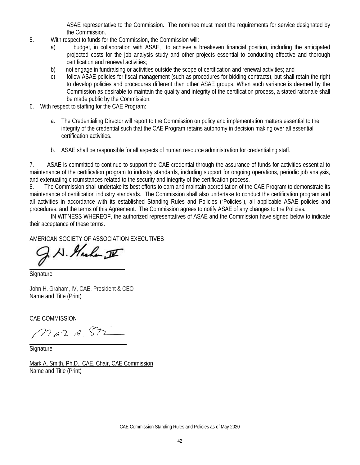ASAE representative to the Commission. The nominee must meet the requirements for service designated by the Commission.

- 5. With respect to funds for the Commission, the Commission will:
	- a) budget, in collaboration with ASAE, to achieve a breakeven financial position, including the anticipated projected costs for the job analysis study and other projects essential to conducting effective and thorough certification and renewal activities;
	- b) not engage in fundraising or activities outside the scope of certification and renewal activities; and
	- c) follow ASAE policies for fiscal management (such as procedures for bidding contracts), but shall retain the right to develop policies and procedures different than other ASAE groups. When such variance is deemed by the Commission as desirable to maintain the quality and integrity of the certification process, a stated rationale shall be made public by the Commission.
- 6. With respect to staffing for the CAE Program:
	- a. The Credentialing Director will report to the Commission on policy and implementation matters essential to the integrity of the credential such that the CAE Program retains autonomy in decision making over all essential certification activities.
	- b. ASAE shall be responsible for all aspects of human resource administration for credentialing staff.

7. ASAE is committed to continue to support the CAE credential through the assurance of funds for activities essential to maintenance of the certification program to industry standards, including support for ongoing operations, periodic job analysis, and extenuating circumstances related to the security and integrity of the certification process.

8. The Commission shall undertake its best efforts to earn and maintain accreditation of the CAE Program to demonstrate its maintenance of certification industry standards. The Commission shall also undertake to conduct the certification program and all activities in accordance with its established Standing Rules and Policies ("Policies"), all applicable ASAE policies and procedures, and the terms of this Agreement. The Commission agrees to notify ASAE of any changes to the Policies.

IN WITNESS WHEREOF, the authorized representatives of ASAE and the Commission have signed below to indicate their acceptance of these terms.

# AMERICAN SOCIETY OF ASSOCIATION EXECUTIVES

N. Huchen II

**Signature** 

John H. Graham, IV, CAE, President & CEO Name and Title (Print)

CAE COMMISSION

Mar A ST

**Signature** 

Mark A. Smith, Ph.D., CAE, Chair, CAE Commission Name and Title (Print)